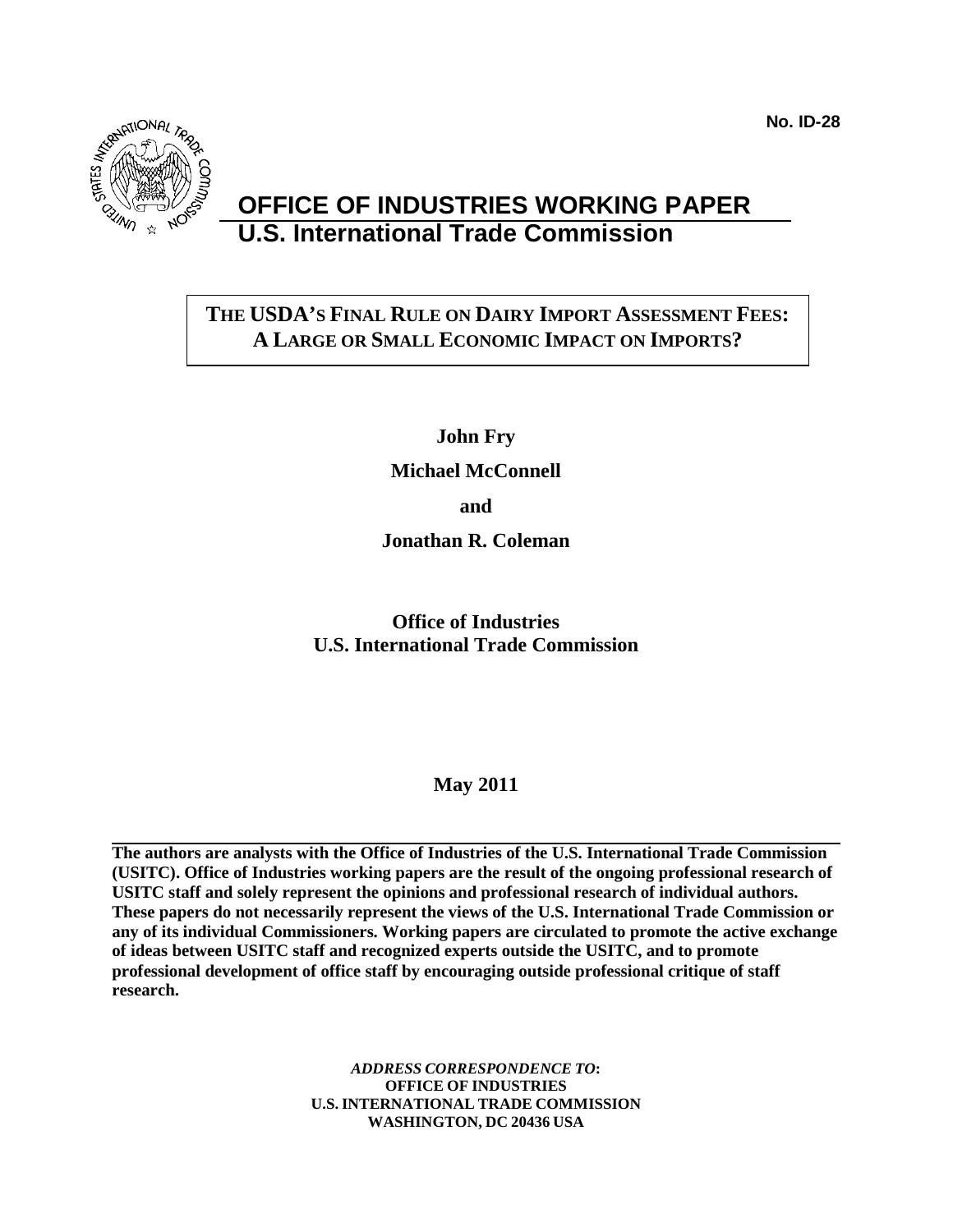**No. ID-28**



# **OFFICE OF INDUSTRIES WORKING PAPER U.S. International Trade Commission**

# **THE USDA'S FINAL RULE ON DAIRY IMPORT ASSESSMENT FEES: A LARGE OR SMALL ECONOMIC IMPACT ON IMPORTS?**

**John Fry**

**Michael McConnell**

**and**

**Jonathan R. Coleman**

**Office of Industries U.S. International Trade Commission**

**May 2011**

<span id="page-0-0"></span>**The authors are analysts with the Office of Industries of the U.S. International Trade Commission (USITC). Office of Industries working papers are the result of the ongoing professional research of USITC staff and solely represent the opinions and professional research of individual authors. These papers do not necessarily represent the views of the U.S. International Trade Commission or any of its individual Commissioners. Working papers are circulated to promote the active exchange of ideas between USITC staff and recognized experts outside the USITC, and to promote professional development of office staff by encouraging outside professional critique of staff research.** 

> *ADDRESS CORRESPONDENCE TO***: OFFICE OF INDUSTRIES U.S. INTERNATIONAL TRADE COMMISSION WASHINGTON, DC 20436 USA**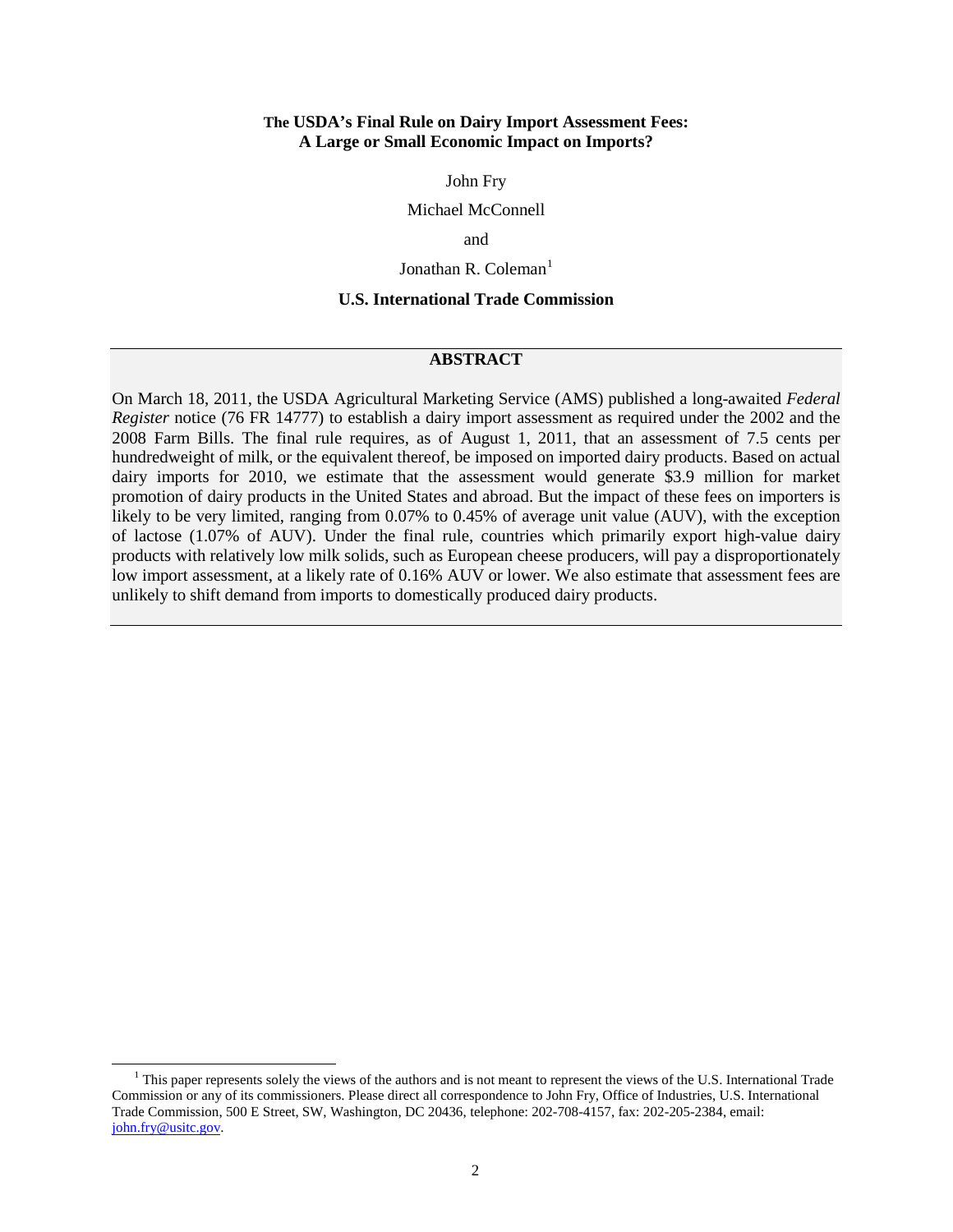#### **The USDA's Final Rule on Dairy Import Assessment Fees: A Large or Small Economic Impact on Imports?**

John Fry

Michael McConnell

and

Jonathan R. Coleman $^1$  $^1$ 

# **U.S. International Trade Commission**

# **ABSTRACT**

On March 18, 2011, the USDA Agricultural Marketing Service (AMS) published a long-awaited *Federal Register* notice (76 FR 14777) to establish a dairy import assessment as required under the 2002 and the 2008 Farm Bills. The final rule requires, as of August 1, 2011, that an assessment of 7.5 cents per hundredweight of milk, or the equivalent thereof, be imposed on imported dairy products. Based on actual dairy imports for 2010, we estimate that the assessment would generate \$3.9 million for market promotion of dairy products in the United States and abroad. But the impact of these fees on importers is likely to be very limited, ranging from 0.07% to 0.45% of average unit value (AUV), with the exception of lactose (1.07% of AUV). Under the final rule, countries which primarily export high-value dairy products with relatively low milk solids, such as European cheese producers, will pay a disproportionately low import assessment, at a likely rate of 0.16% AUV or lower. We also estimate that assessment fees are unlikely to shift demand from imports to domestically produced dairy products.

<span id="page-1-0"></span> $<sup>1</sup>$  This paper represents solely the views of the authors and is not meant to represent the views of the U.S. International Trade</sup> Commission or any of its commissioners. Please direct all correspondence to John Fry, Office of Industries, U.S. International Trade Commission, 500 E Street, SW, Washington, DC 20436, telephone: 202-708-4157, fax: 202-205-2384, email: [john.fry@usitc.gov.](mailto:john.fry@usitc.gov)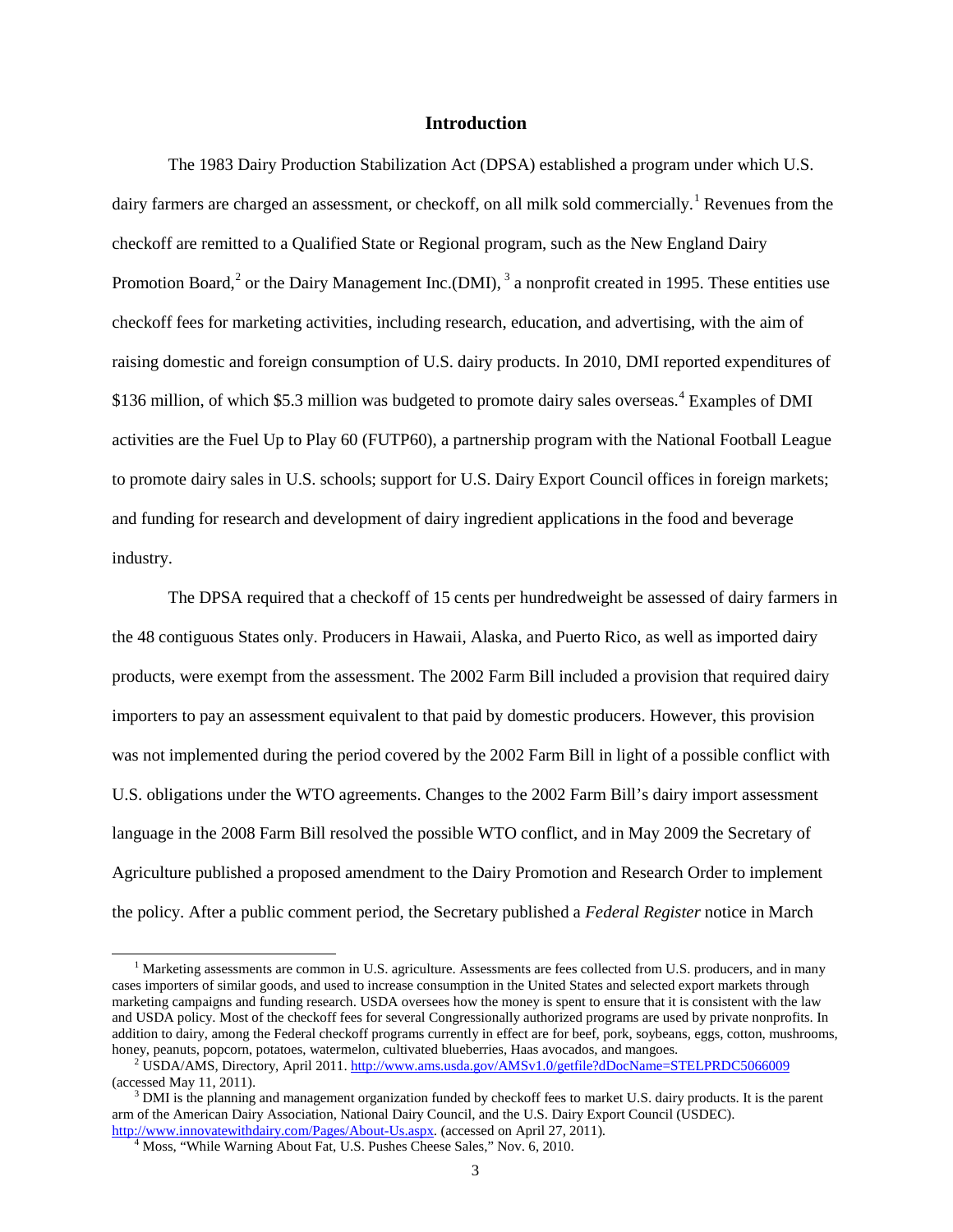# **Introduction**

The 1983 Dairy Production Stabilization Act (DPSA) established a program under which U.S. dairy farmers are charged an assessment, or checkoff, on all milk sold commercially.<sup>[1](#page-1-0)</sup> Revenues from the checkoff are remitted to a Qualified State or Regional program, such as the New England Dairy Promotion Board, $^2$  $^2$  or the Dairy Management Inc.(DMI),  $^3$  $^3$  a nonprofit created in 1995. These entities use checkoff fees for marketing activities, including research, education, and advertising, with the aim of raising domestic and foreign consumption of U.S. dairy products. In 2010, DMI reported expenditures of \$136 million, of which \$5.3 million was budgeted to promote dairy sales overseas.<sup>[4](#page-2-2)</sup> Examples of DMI activities are the Fuel Up to Play 60 (FUTP60), a partnership program with the National Football League to promote dairy sales in U.S. schools; support for U.S. Dairy Export Council offices in foreign markets; and funding for research and development of dairy ingredient applications in the food and beverage industry.

The DPSA required that a checkoff of 15 cents per hundredweight be assessed of dairy farmers in the 48 contiguous States only. Producers in Hawaii, Alaska, and Puerto Rico, as well as imported dairy products, were exempt from the assessment. The 2002 Farm Bill included a provision that required dairy importers to pay an assessment equivalent to that paid by domestic producers. However, this provision was not implemented during the period covered by the 2002 Farm Bill in light of a possible conflict with U.S. obligations under the WTO agreements. Changes to the 2002 Farm Bill's dairy import assessment language in the 2008 Farm Bill resolved the possible WTO conflict, and in May 2009 the Secretary of Agriculture published a proposed amendment to the Dairy Promotion and Research Order to implement the policy. After a public comment period, the Secretary published a *Federal Register* notice in March

 $<sup>1</sup>$  Marketing assessments are common in U.S. agriculture. Assessments are fees collected from U.S. producers, and in many</sup> cases importers of similar goods, and used to increase consumption in the United States and selected export markets through marketing campaigns and funding research. USDA oversees how the money is spent to ensure that it is consistent with the law and USDA policy. Most of the checkoff fees for several Congressionally authorized programs are used by private nonprofits. In addition to dairy, among the Federal checkoff programs currently in effect are for beef, pork, soybeans, eggs, cotton, mushrooms, honey, peanuts, popcorn, potatoes, watermelon, cultivated blueberries, Haas avocados, and ma

<span id="page-2-0"></span><sup>&</sup>lt;sup>2</sup> USDA/AMS, Directory, April 2011[. http://www.ams.usda.gov/AMSv1.0/getfile?dDocName=STELPRDC5066009](http://www.ams.usda.gov/AMSv1.0/getfile?dDocName=STELPRDC5066009) (accessed May 11, 2011).<br><sup>3</sup> DMI is the planning and management organization funded by checkoff fees to market U.S. dairy products. It is the parent

<span id="page-2-2"></span><span id="page-2-1"></span>arm of the American Dairy Association, National Dairy Council, and the U.S. Dairy Export Council (USDEC).<br>http://www.innovatewithdairy.com/Pages/About-Us.aspx. (accessed on April 27, 2011).

<sup>&</sup>lt;sup>4</sup> Moss, "While Warning About Fat, U.S. Pushes Cheese Sales," Nov. 6, 2010.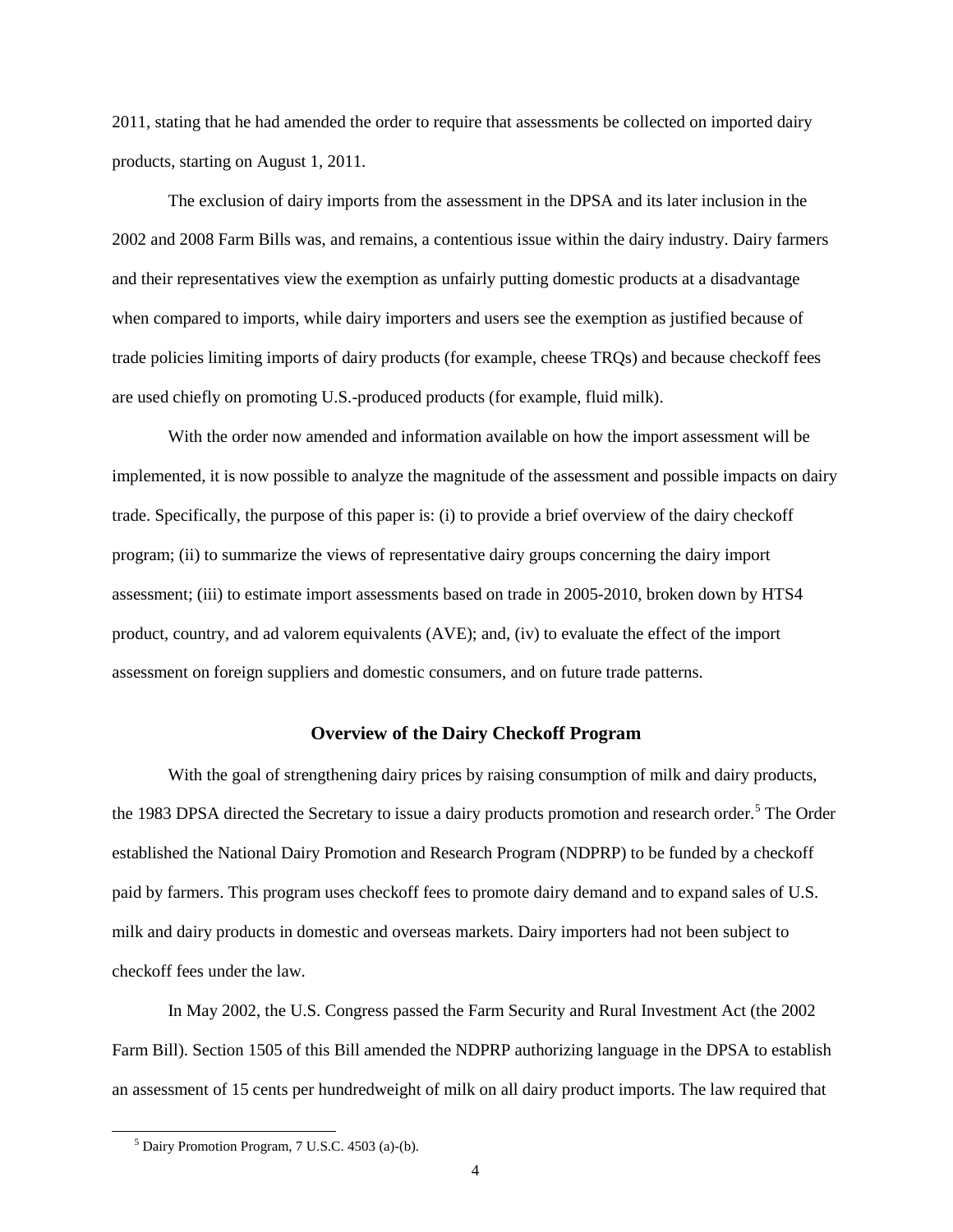2011, stating that he had amended the order to require that assessments be collected on imported dairy products, starting on August 1, 2011.

The exclusion of dairy imports from the assessment in the DPSA and its later inclusion in the 2002 and 2008 Farm Bills was, and remains, a contentious issue within the dairy industry. Dairy farmers and their representatives view the exemption as unfairly putting domestic products at a disadvantage when compared to imports, while dairy importers and users see the exemption as justified because of trade policies limiting imports of dairy products (for example, cheese TRQs) and because checkoff fees are used chiefly on promoting U.S.-produced products (for example, fluid milk).

With the order now amended and information available on how the import assessment will be implemented, it is now possible to analyze the magnitude of the assessment and possible impacts on dairy trade. Specifically, the purpose of this paper is: (i) to provide a brief overview of the dairy checkoff program; (ii) to summarize the views of representative dairy groups concerning the dairy import assessment; (iii) to estimate import assessments based on trade in 2005-2010, broken down by HTS4 product, country, and ad valorem equivalents (AVE); and, (iv) to evaluate the effect of the import assessment on foreign suppliers and domestic consumers, and on future trade patterns.

# **Overview of the Dairy Checkoff Program**

With the goal of strengthening dairy prices by raising consumption of milk and dairy products, the 1983 DPSA directed the Secretary to issue a dairy products promotion and research order. [5](#page-2-2) The Order established the National Dairy Promotion and Research Program (NDPRP) to be funded by a checkoff paid by farmers. This program uses checkoff fees to promote dairy demand and to expand sales of U.S. milk and dairy products in domestic and overseas markets. Dairy importers had not been subject to checkoff fees under the law.

<span id="page-3-0"></span>In May 2002, the U.S. Congress passed the Farm Security and Rural Investment Act (the 2002 Farm Bill). Section 1505 of this Bill amended the NDPRP authorizing language in the DPSA to establish an assessment of 15 cents per hundredweight of milk on all dairy product imports. The law required that

 <sup>5</sup> Dairy Promotion Program, 7 U.S.C. 4503 (a)-(b).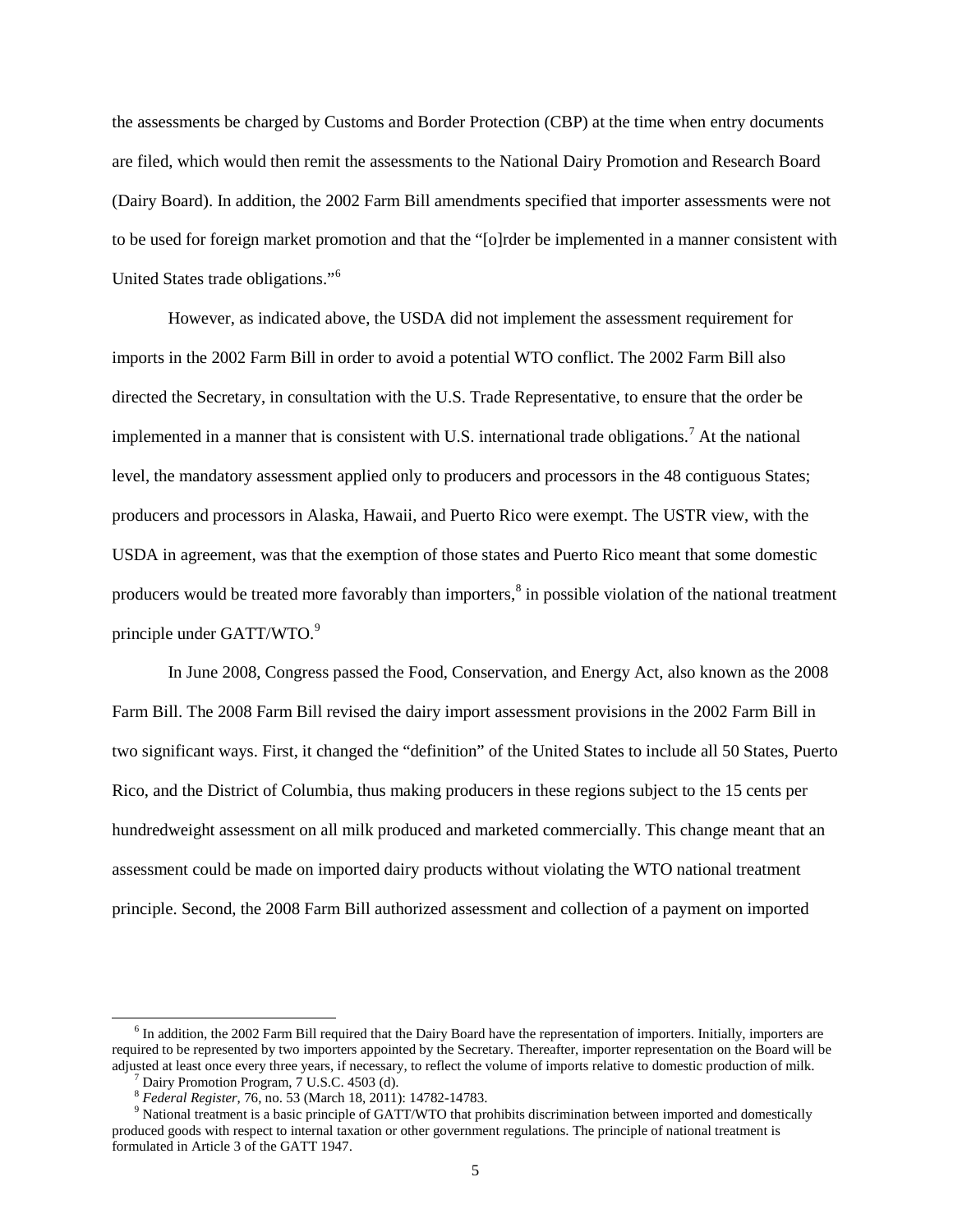the assessments be charged by Customs and Border Protection (CBP) at the time when entry documents are filed, which would then remit the assessments to the National Dairy Promotion and Research Board (Dairy Board). In addition, the 2002 Farm Bill amendments specified that importer assessments were not to be used for foreign market promotion and that the "[o]rder be implemented in a manner consistent with United States trade obligations."[6](#page-3-0)

However, as indicated above, the USDA did not implement the assessment requirement for imports in the 2002 Farm Bill in order to avoid a potential WTO conflict. The 2002 Farm Bill also directed the Secretary, in consultation with the U.S. Trade Representative, to ensure that the order be implemented in a manner that is consistent with U.S. international trade obligations.[7](#page-4-0) At the national level, the mandatory assessment applied only to producers and processors in the 48 contiguous States; producers and processors in Alaska, Hawaii, and Puerto Rico were exempt. The USTR view, with the USDA in agreement, was that the exemption of those states and Puerto Rico meant that some domestic producers would be treated more favorably than importers,<sup>[8](#page-4-1)</sup> in possible violation of the national treatment principle under GATT/WTO.<sup>[9](#page-4-2)</sup>

In June 2008, Congress passed the Food, Conservation, and Energy Act, also known as the 2008 Farm Bill. The 2008 Farm Bill revised the dairy import assessment provisions in the 2002 Farm Bill in two significant ways. First, it changed the "definition" of the United States to include all 50 States, Puerto Rico, and the District of Columbia, thus making producers in these regions subject to the 15 cents per hundredweight assessment on all milk produced and marketed commercially. This change meant that an assessment could be made on imported dairy products without violating the WTO national treatment principle. Second, the 2008 Farm Bill authorized assessment and collection of a payment on imported

<span id="page-4-3"></span> <sup>6</sup> In addition, the 2002 Farm Bill required that the Dairy Board have the representation of importers. Initially, importers are required to be represented by two importers appointed by the Secretary. Thereafter, importer representation on the Board will be adjusted at least once every three years, if necessary, to reflect the volume of imports relative to domestic production of milk.<br>
<sup>7</sup> Dairy Promotion Program, 7 U.S.C. 4503 (d).<br>
<sup>8</sup> Federal Register, 76, no. 53 (March 18

<span id="page-4-2"></span><span id="page-4-1"></span><span id="page-4-0"></span><sup>&</sup>lt;sup>9</sup> National treatment is a basic principle of GATT/WTO that prohibits discrimination between imported and domestically produced goods with respect to internal taxation or other government regulations. The principle of national treatment is formulated in Article 3 of the GATT 1947.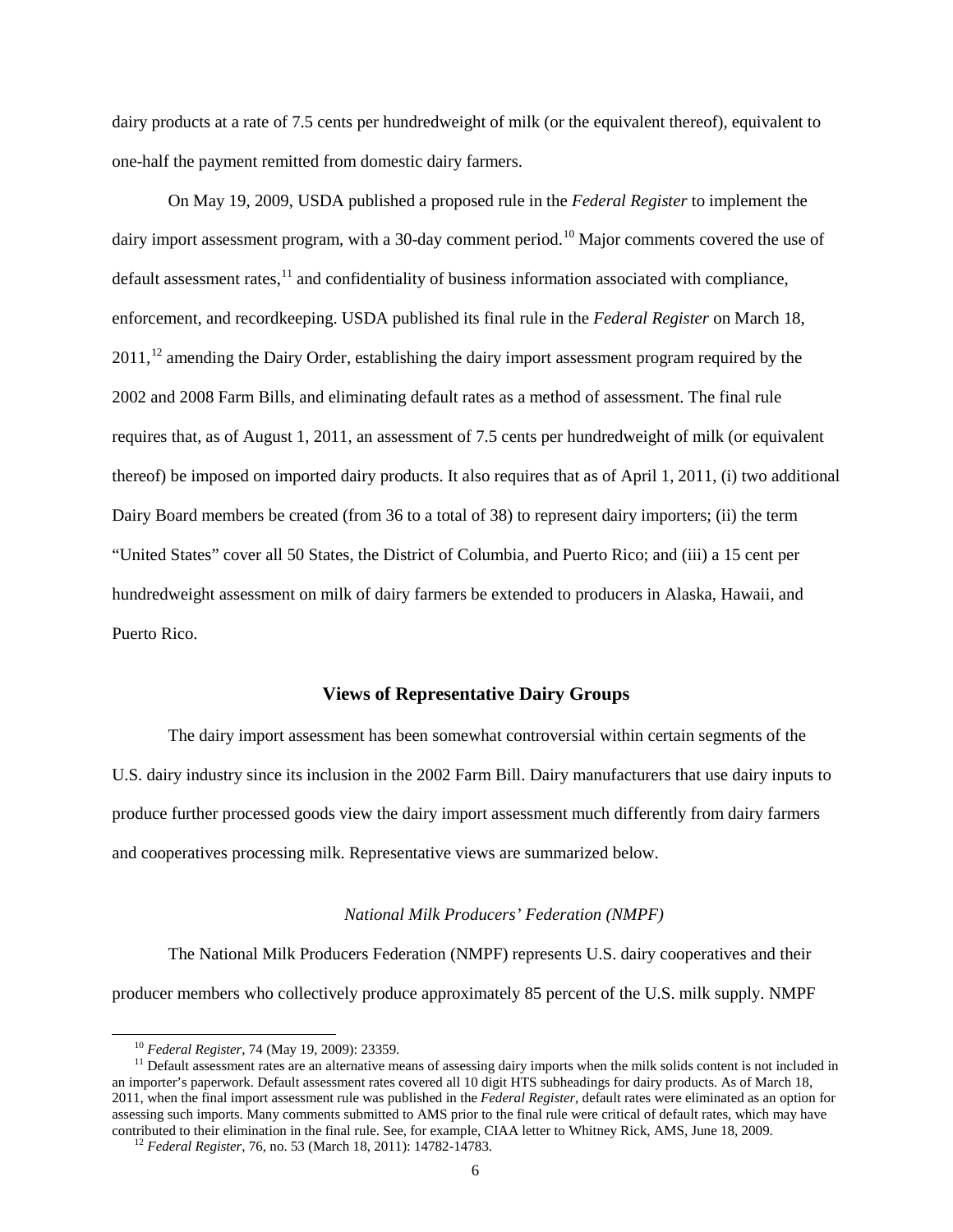dairy products at a rate of 7.5 cents per hundredweight of milk (or the equivalent thereof), equivalent to one-half the payment remitted from domestic dairy farmers.

On May 19, 2009, USDA published a proposed rule in the *Federal Register* to implement the dairy import assessment program, with a 30-day comment period.<sup>[10](#page-4-3)</sup> Major comments covered the use of default assessment rates, $^{11}$  $^{11}$  $^{11}$  and confidentiality of business information associated with compliance, enforcement, and recordkeeping. USDA published its final rule in the *Federal Register* on March 18,  $2011<sup>12</sup>$  $2011<sup>12</sup>$  $2011<sup>12</sup>$  amending the Dairy Order, establishing the dairy import assessment program required by the 2002 and 2008 Farm Bills, and eliminating default rates as a method of assessment. The final rule requires that, as of August 1, 2011, an assessment of 7.5 cents per hundredweight of milk (or equivalent thereof) be imposed on imported dairy products. It also requires that as of April 1, 2011, (i) two additional Dairy Board members be created (from 36 to a total of 38) to represent dairy importers; (ii) the term "United States" cover all 50 States, the District of Columbia, and Puerto Rico; and (iii) a 15 cent per hundredweight assessment on milk of dairy farmers be extended to producers in Alaska, Hawaii, and Puerto Rico.

# **Views of Representative Dairy Groups**

The dairy import assessment has been somewhat controversial within certain segments of the U.S. dairy industry since its inclusion in the 2002 Farm Bill. Dairy manufacturers that use dairy inputs to produce further processed goods view the dairy import assessment much differently from dairy farmers and cooperatives processing milk. Representative views are summarized below.

#### *National Milk Producers' Federation (NMPF)*

The National Milk Producers Federation (NMPF) represents U.S. dairy cooperatives and their producer members who collectively produce approximately 85 percent of the U.S. milk supply. NMPF

<span id="page-5-2"></span><span id="page-5-0"></span><sup>&</sup>lt;sup>10</sup> *Federal Register*, 74 (May 19, 2009): 23359.<br><sup>11</sup> Default assessment rates are an alternative means of assessing dairy imports when the milk solids content is not included in an importer's paperwork. Default assessment rates covered all 10 digit HTS subheadings for dairy products. As of March 18, 2011, when the final import assessment rule was published in the *Federal Register*, default rates were eliminated as an option for assessing such imports. Many comments submitted to AMS prior to the final rule were critical of default rates, which may have contributed to their elimination in the final rule. See, for example, CIAA letter to Whitney Rick, AMS, June 18, 2009. <sup>12</sup> *Federal Register*, 76, no. 53 (March 18, 2011): 14782-14783.

<span id="page-5-1"></span>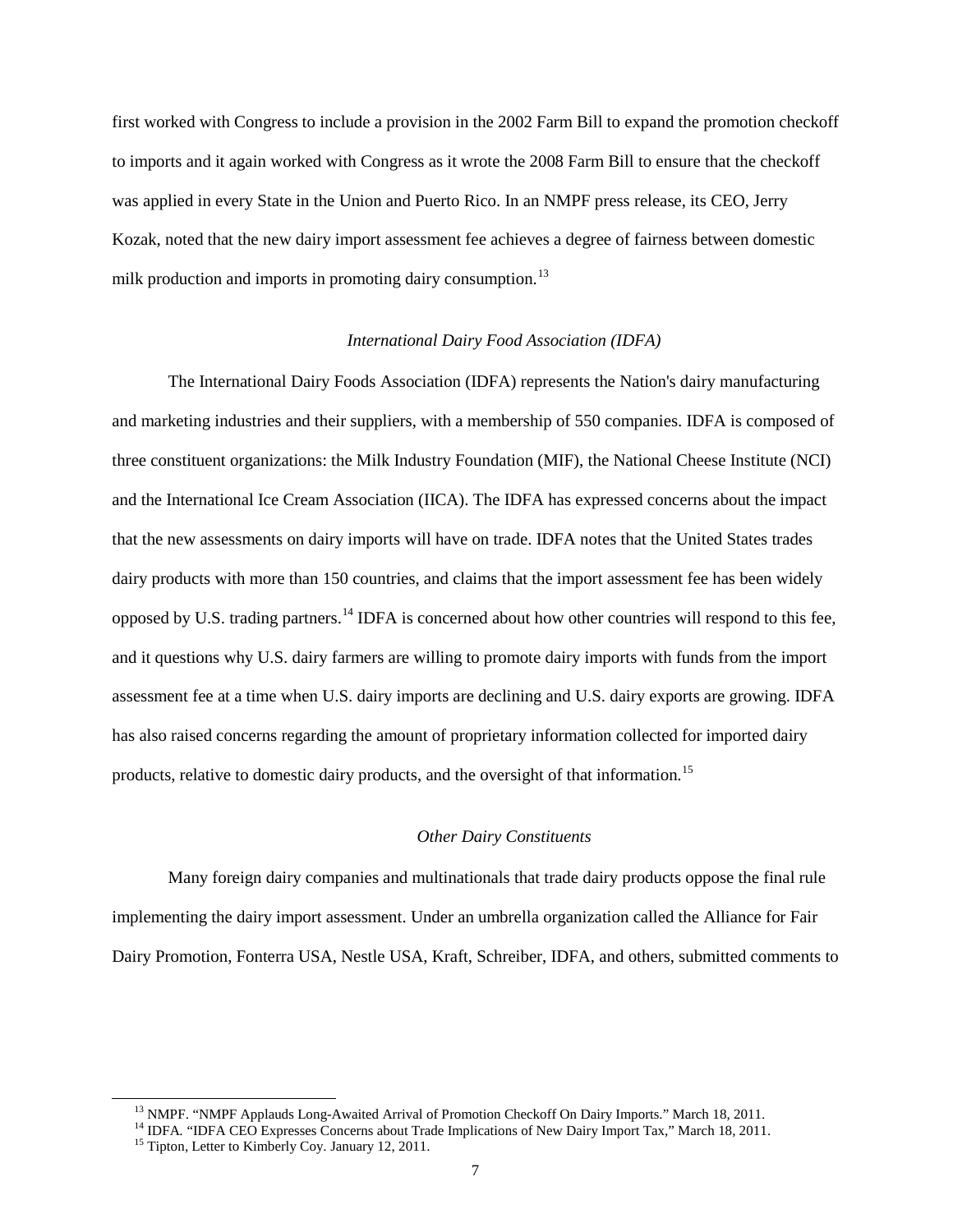first worked with Congress to include a provision in the 2002 Farm Bill to expand the promotion checkoff to imports and it again worked with Congress as it wrote the 2008 Farm Bill to ensure that the checkoff was applied in every State in the Union and Puerto Rico. In an NMPF press release, its CEO, Jerry Kozak, noted that the new dairy import assessment fee achieves a degree of fairness between domestic milk production and imports in promoting dairy consumption.<sup>[13](#page-5-2)</sup>

# *International Dairy Food Association (IDFA)*

The International Dairy Foods Association (IDFA) represents the Nation's dairy manufacturing and marketing industries and their suppliers, with a membership of 550 companies. IDFA is composed of three constituent organizations: the Milk Industry Foundation (MIF), the National Cheese Institute (NCI) and the International Ice Cream Association (IICA). The IDFA has expressed concerns about the impact that the new assessments on dairy imports will have on trade. IDFA notes that the United States trades dairy products with more than 150 countries, and claims that the import assessment fee has been widely opposed by U.S. trading partners.[14](#page-6-0) IDFA is concerned about how other countries will respond to this fee, and it questions why U.S. dairy farmers are willing to promote dairy imports with funds from the import assessment fee at a time when U.S. dairy imports are declining and U.S. dairy exports are growing. IDFA has also raised concerns regarding the amount of proprietary information collected for imported dairy products, relative to domestic dairy products, and the oversight of that information.<sup>[15](#page-6-1)</sup>

#### *Other Dairy Constituents*

Many foreign dairy companies and multinationals that trade dairy products oppose the final rule implementing the dairy import assessment. Under an umbrella organization called the Alliance for Fair Dairy Promotion, Fonterra USA, Nestle USA, Kraft, Schreiber, IDFA, and others, submitted comments to

<span id="page-6-2"></span><sup>&</sup>lt;sup>13</sup> NMPF. "NMPF Applauds Long-Awaited Arrival of Promotion Checkoff On Dairy Imports." March 18, 2011.<br><sup>14</sup> IDFA. "IDFA CEO Expresses Concerns about Trade Implications of New Dairy Import Tax," March 18, 2011.<br><sup>15</sup> Tipto

<span id="page-6-1"></span><span id="page-6-0"></span>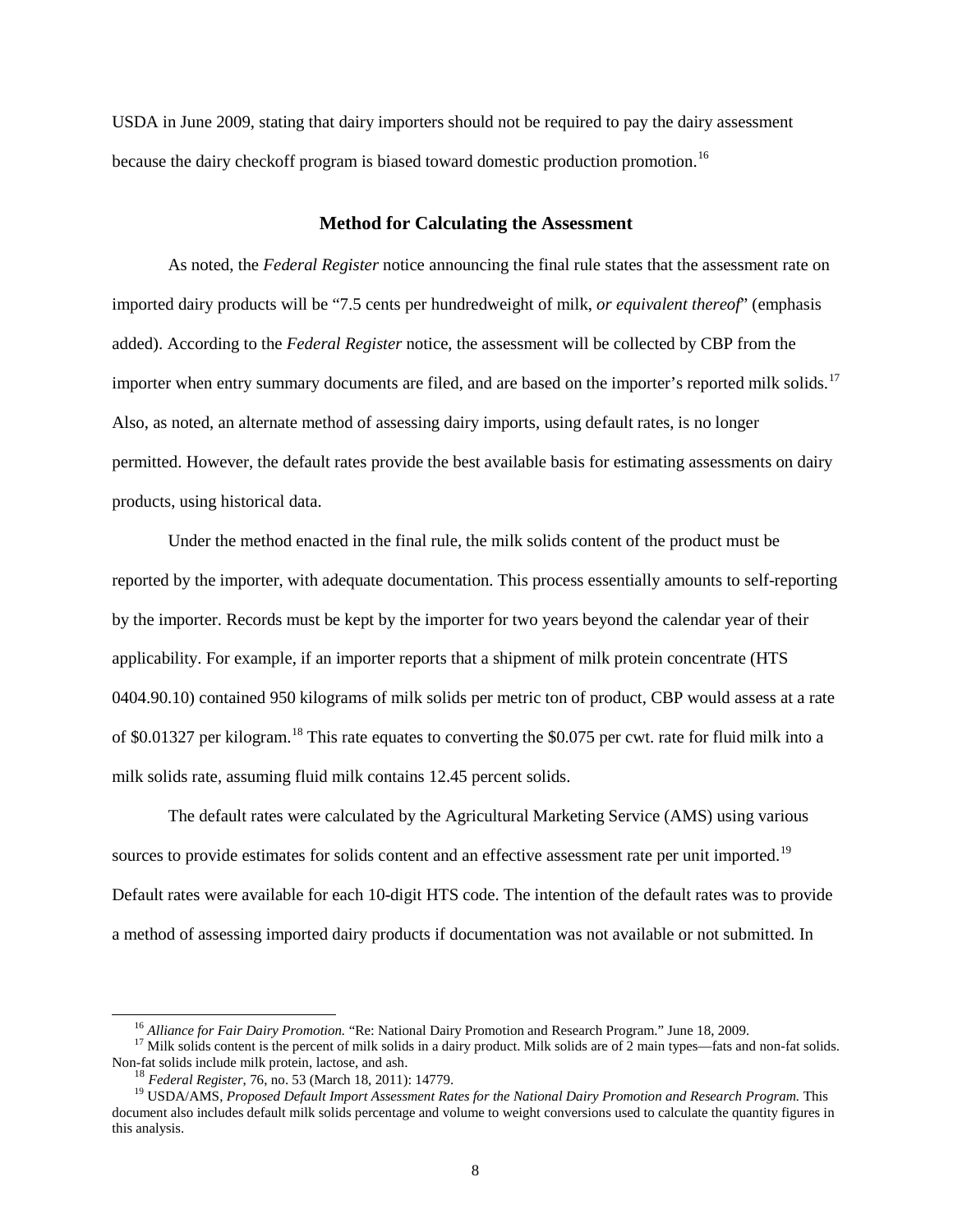USDA in June 2009, stating that dairy importers should not be required to pay the dairy assessment because the dairy checkoff program is biased toward domestic production promotion.<sup>[16](#page-6-2)</sup>

#### **Method for Calculating the Assessment**

As noted, the *Federal Register* notice announcing the final rule states that the assessment rate on imported dairy products will be "7.5 cents per hundredweight of milk, *or equivalent thereof*" (emphasis added). According to the *Federal Register* notice, the assessment will be collected by CBP from the importer when entry summary documents are filed, and are based on the importer's reported milk solids.<sup>[17](#page-7-0)</sup> Also, as noted, an alternate method of assessing dairy imports, using default rates, is no longer permitted. However, the default rates provide the best available basis for estimating assessments on dairy products, using historical data.

Under the method enacted in the final rule, the milk solids content of the product must be reported by the importer, with adequate documentation. This process essentially amounts to self-reporting by the importer. Records must be kept by the importer for two years beyond the calendar year of their applicability. For example, if an importer reports that a shipment of milk protein concentrate (HTS 0404.90.10) contained 950 kilograms of milk solids per metric ton of product, CBP would assess at a rate of \$0.01327 per kilogram.<sup>[18](#page-7-1)</sup> This rate equates to converting the \$0.075 per cwt. rate for fluid milk into a milk solids rate, assuming fluid milk contains 12.45 percent solids.

The default rates were calculated by the Agricultural Marketing Service (AMS) using various sources to provide estimates for solids content and an effective assessment rate per unit imported.<sup>[19](#page-7-2)</sup> Default rates were available for each 10-digit HTS code. The intention of the default rates was to provide a method of assessing imported dairy products if documentation was not available or not submitted. In

<span id="page-7-0"></span><sup>&</sup>lt;sup>16</sup> *Alliance for Fair Dairy Promotion*. "Re: National Dairy Promotion and Research Program." June 18, 2009.<br><sup>17</sup> Milk solids content is the percent of milk solids in a dairy product. Milk solids are of 2 main types—fats Non-fat solids include milk protein, lactose, and ash.<br><sup>18</sup> Federal Register, 76, no. 53 (March 18, 2011): 14779.

<span id="page-7-3"></span><span id="page-7-2"></span><span id="page-7-1"></span><sup>&</sup>lt;sup>19</sup> USDA/AMS, *Proposed Default Import Assessment Rates for the National Dairy Promotion and Research Program. This* document also includes default milk solids percentage and volume to weight conversions used to calculate the quantity figures in this analysis.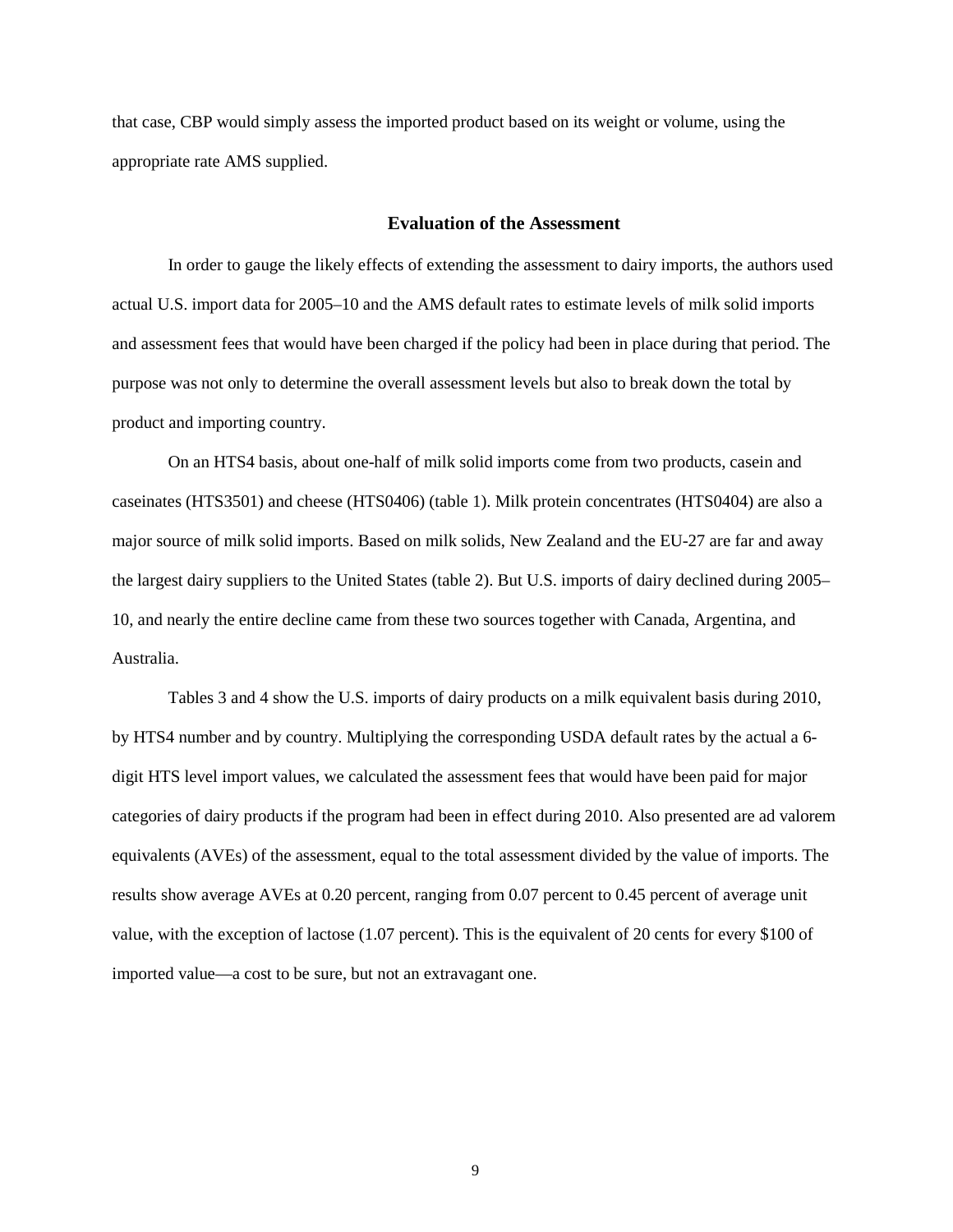that case, CBP would simply assess the imported product based on its weight or volume, using the appropriate rate AMS supplied.

#### **Evaluation of the Assessment**

In order to gauge the likely effects of extending the assessment to dairy imports, the authors used actual U.S. import data for 2005–10 and the AMS default rates to estimate levels of milk solid imports and assessment fees that would have been charged if the policy had been in place during that period. The purpose was not only to determine the overall assessment levels but also to break down the total by product and importing country.

On an HTS4 basis, about one-half of milk solid imports come from two products, casein and caseinates (HTS3501) and cheese (HTS0406) (table 1). Milk protein concentrates (HTS0404) are also a major source of milk solid imports. Based on milk solids, New Zealand and the EU-27 are far and away the largest dairy suppliers to the United States (table 2). But U.S. imports of dairy declined during 2005– 10, and nearly the entire decline came from these two sources together with Canada, Argentina, and Australia.

Tables 3 and 4 show the U.S. imports of dairy products on a milk equivalent basis during 2010, by HTS4 number and by country. Multiplying the corresponding USDA default rates by the actual a 6 digit HTS level import values, we calculated the assessment fees that would have been paid for major categories of dairy products if the program had been in effect during 2010. Also presented are ad valorem equivalents (AVEs) of the assessment, equal to the total assessment divided by the value of imports. The results show average AVEs at 0.20 percent, ranging from 0.07 percent to 0.45 percent of average unit value, with the exception of lactose (1.07 percent). This is the equivalent of 20 cents for every \$100 of imported value—a cost to be sure, but not an extravagant one.

9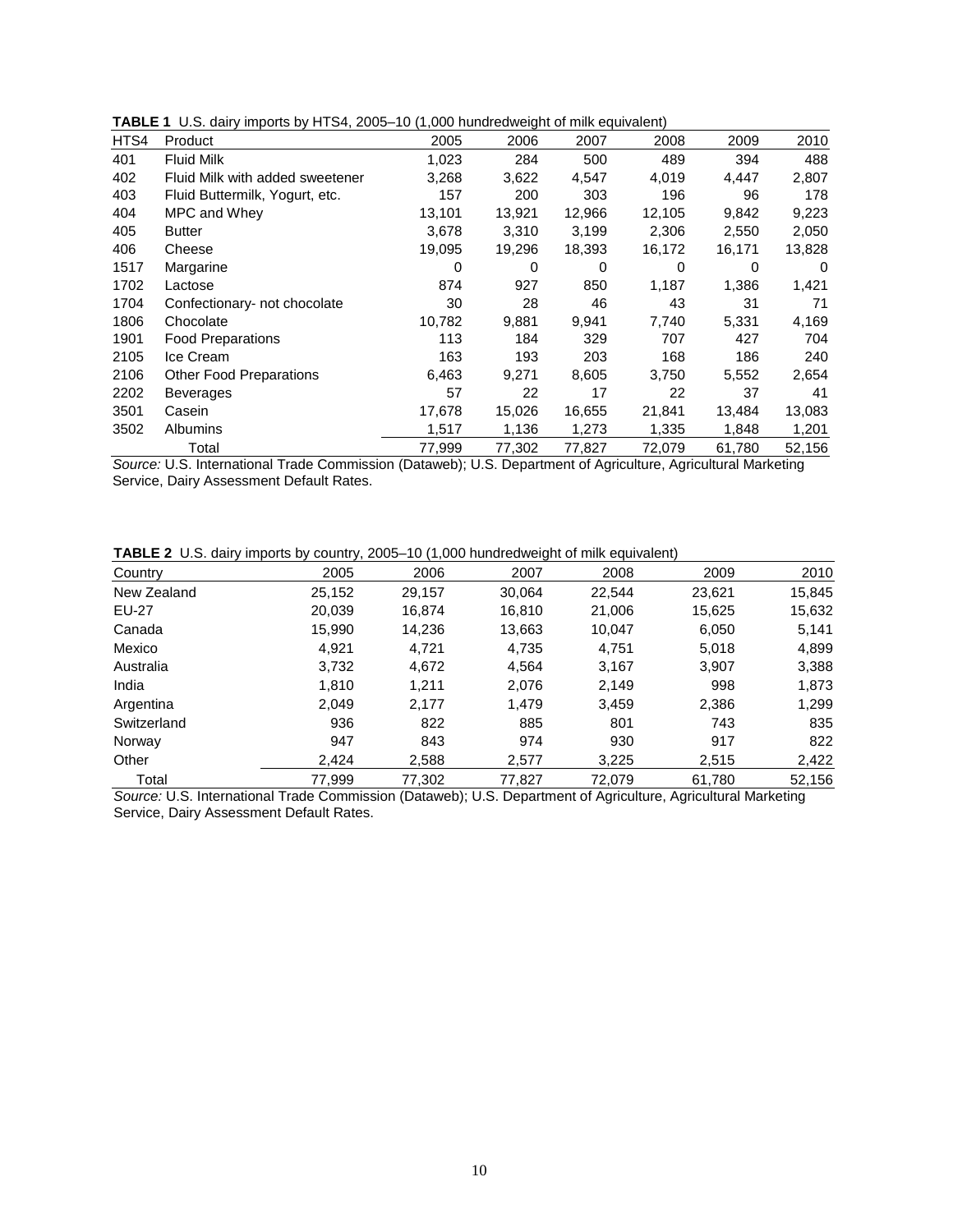| HTS4 | Product                         | 2005   | 2006   | 2007   | 2008   | 2009   | 2010   |
|------|---------------------------------|--------|--------|--------|--------|--------|--------|
| 401  | <b>Fluid Milk</b>               | 1,023  | 284    | 500    | 489    | 394    | 488    |
| 402  | Fluid Milk with added sweetener | 3,268  | 3,622  | 4,547  | 4,019  | 4,447  | 2,807  |
| 403  | Fluid Buttermilk, Yogurt, etc.  | 157    | 200    | 303    | 196    | 96     | 178    |
| 404  | MPC and Whey                    | 13,101 | 13,921 | 12,966 | 12,105 | 9,842  | 9,223  |
| 405  | <b>Butter</b>                   | 3,678  | 3,310  | 3,199  | 2,306  | 2,550  | 2,050  |
| 406  | Cheese                          | 19,095 | 19,296 | 18,393 | 16,172 | 16,171 | 13,828 |
| 1517 | Margarine                       | 0      | 0      | 0      | 0      | 0      | 0      |
| 1702 | Lactose                         | 874    | 927    | 850    | 1,187  | 1,386  | 1,421  |
| 1704 | Confectionary- not chocolate    | 30     | 28     | 46     | 43     | 31     | 71     |
| 1806 | Chocolate                       | 10,782 | 9,881  | 9,941  | 7,740  | 5,331  | 4,169  |
| 1901 | <b>Food Preparations</b>        | 113    | 184    | 329    | 707    | 427    | 704    |
| 2105 | Ice Cream                       | 163    | 193    | 203    | 168    | 186    | 240    |
| 2106 | <b>Other Food Preparations</b>  | 6,463  | 9,271  | 8,605  | 3,750  | 5,552  | 2,654  |
| 2202 | Beverages                       | 57     | 22     | 17     | 22     | 37     | 41     |
| 3501 | Casein                          | 17,678 | 15,026 | 16,655 | 21,841 | 13,484 | 13,083 |
| 3502 | <b>Albumins</b>                 | 1,517  | 1,136  | 1,273  | 1,335  | 1,848  | 1,201  |
|      | Total                           | 77,999 | 77,302 | 77,827 | 72,079 | 61,780 | 52,156 |

**TABLE 1** U.S. dairy imports by HTS4, 2005–10 (1,000 hundredweight of milk equivalent)

*Source:* U.S. International Trade Commission (Dataweb); U.S. Department of Agriculture, Agricultural Marketing Service, Dairy Assessment Default Rates.

|  |  |  |  |  | <b>TABLE 2</b> U.S. dairy imports by country, 2005-10 (1,000 hundredweight of milk equivalent) |  |
|--|--|--|--|--|------------------------------------------------------------------------------------------------|--|
|--|--|--|--|--|------------------------------------------------------------------------------------------------|--|

| Country      | 2005   | 2006   | 2007   | 2008   | 2009   | 2010   |
|--------------|--------|--------|--------|--------|--------|--------|
| New Zealand  | 25,152 | 29,157 | 30,064 | 22,544 | 23,621 | 15,845 |
| <b>EU-27</b> | 20,039 | 16,874 | 16,810 | 21,006 | 15,625 | 15,632 |
| Canada       | 15,990 | 14,236 | 13,663 | 10.047 | 6,050  | 5,141  |
| Mexico       | 4,921  | 4,721  | 4,735  | 4,751  | 5,018  | 4,899  |
| Australia    | 3,732  | 4,672  | 4,564  | 3.167  | 3.907  | 3,388  |
| India        | 1,810  | 1,211  | 2,076  | 2,149  | 998    | 1,873  |
| Argentina    | 2,049  | 2,177  | 1,479  | 3,459  | 2,386  | 1,299  |
| Switzerland  | 936    | 822    | 885    | 801    | 743    | 835    |
| Norway       | 947    | 843    | 974    | 930    | 917    | 822    |
| Other        | 2,424  | 2,588  | 2,577  | 3,225  | 2,515  | 2,422  |
| Total        | 77,999 | 77,302 | 77,827 | 72,079 | 61,780 | 52,156 |

*Source:* U.S. International Trade Commission (Dataweb); U.S. Department of Agriculture, Agricultural Marketing Service, Dairy Assessment Default Rates.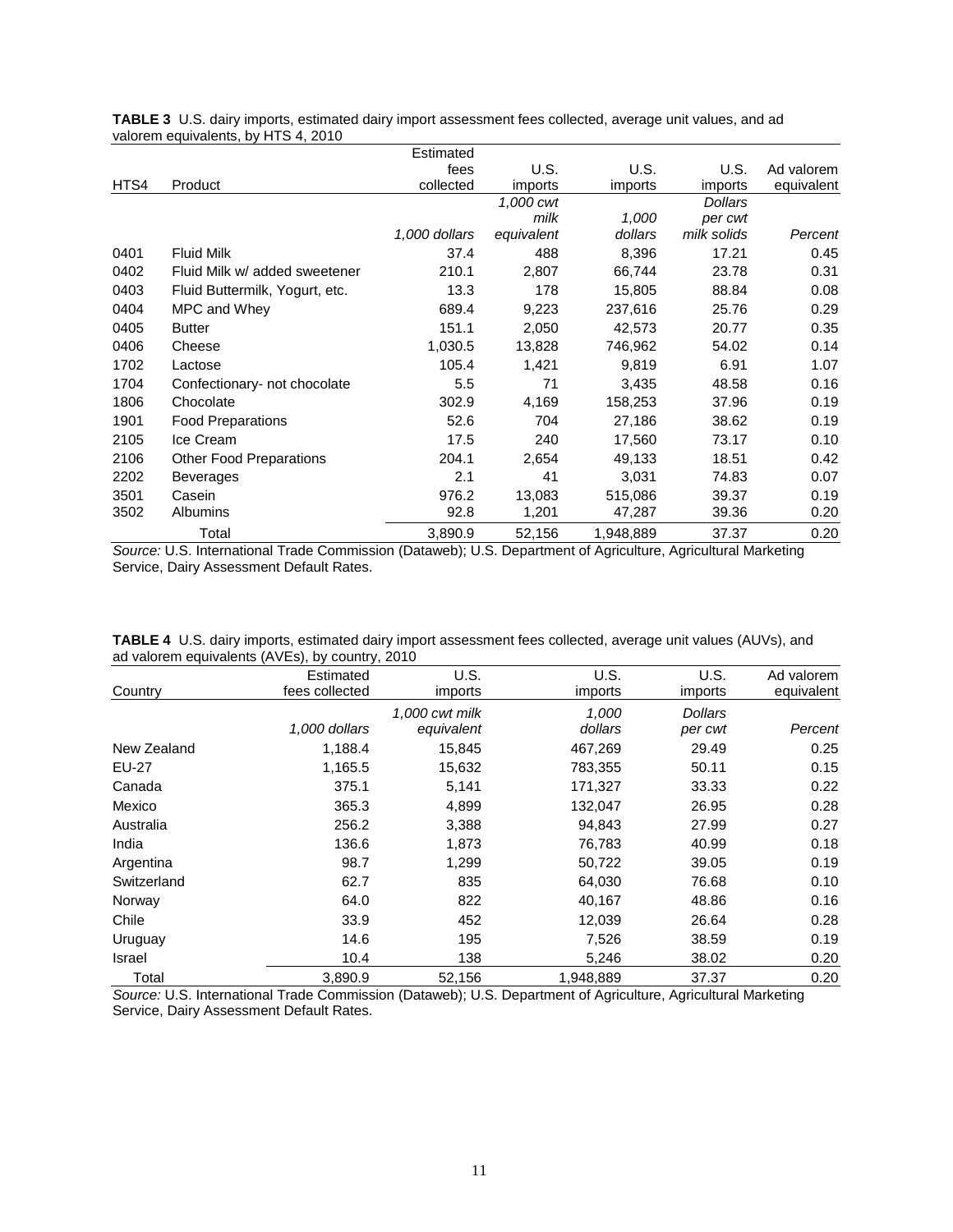|      |                                | Estimated     |            |           |                |            |
|------|--------------------------------|---------------|------------|-----------|----------------|------------|
|      |                                | fees          | U.S.       | U.S.      | U.S.           | Ad valorem |
| HTS4 | Product                        | collected     | imports    | imports   | imports        | equivalent |
|      |                                |               | 1,000 cwt  |           | <b>Dollars</b> |            |
|      |                                |               | milk       | 1,000     | per cwt        |            |
|      |                                | 1,000 dollars | equivalent | dollars   | milk solids    | Percent    |
| 0401 | <b>Fluid Milk</b>              | 37.4          | 488        | 8,396     | 17.21          | 0.45       |
| 0402 | Fluid Milk w/ added sweetener  | 210.1         | 2,807      | 66,744    | 23.78          | 0.31       |
| 0403 | Fluid Buttermilk, Yogurt, etc. | 13.3          | 178        | 15,805    | 88.84          | 0.08       |
| 0404 | MPC and Whey                   | 689.4         | 9,223      | 237,616   | 25.76          | 0.29       |
| 0405 | <b>Butter</b>                  | 151.1         | 2,050      | 42,573    | 20.77          | 0.35       |
| 0406 | Cheese                         | 1,030.5       | 13,828     | 746,962   | 54.02          | 0.14       |
| 1702 | Lactose                        | 105.4         | 1,421      | 9,819     | 6.91           | 1.07       |
| 1704 | Confectionary- not chocolate   | 5.5           | 71         | 3,435     | 48.58          | 0.16       |
| 1806 | Chocolate                      | 302.9         | 4,169      | 158,253   | 37.96          | 0.19       |
| 1901 | <b>Food Preparations</b>       | 52.6          | 704        | 27,186    | 38.62          | 0.19       |
| 2105 | Ice Cream                      | 17.5          | 240        | 17,560    | 73.17          | 0.10       |
| 2106 | <b>Other Food Preparations</b> | 204.1         | 2,654      | 49,133    | 18.51          | 0.42       |
| 2202 | <b>Beverages</b>               | 2.1           | 41         | 3,031     | 74.83          | 0.07       |
| 3501 | Casein                         | 976.2         | 13,083     | 515,086   | 39.37          | 0.19       |
| 3502 | Albumins                       | 92.8          | 1,201      | 47,287    | 39.36          | 0.20       |
|      | Total                          | 3,890.9       | 52,156     | 1,948,889 | 37.37          | 0.20       |

**TABLE 3** U.S. dairy imports, estimated dairy import assessment fees collected, average unit values, and ad valorem equivalents, by HTS 4, 2010

*Source:* U.S. International Trade Commission (Dataweb); U.S. Department of Agriculture, Agricultural Marketing Service, Dairy Assessment Default Rates.

| TABLE 4 U.S. dairy imports, estimated dairy import assessment fees collected, average unit values (AUVs), and |  |  |  |
|---------------------------------------------------------------------------------------------------------------|--|--|--|
| ad valorem equivalents (AVEs), by country, 2010                                                               |  |  |  |

|             | Estimated      | U.S.           | U.S.      | U.S.           | Ad valorem |
|-------------|----------------|----------------|-----------|----------------|------------|
| Country     | fees collected | imports        | imports   | imports        | equivalent |
|             |                | 1.000 cwt milk | 1.000     | <b>Dollars</b> |            |
|             | 1,000 dollars  | equivalent     | dollars   | per cwt        | Percent    |
| New Zealand | 1,188.4        | 15,845         | 467,269   | 29.49          | 0.25       |
| EU-27       | 1,165.5        | 15,632         | 783,355   | 50.11          | 0.15       |
| Canada      | 375.1          | 5,141          | 171,327   | 33.33          | 0.22       |
| Mexico      | 365.3          | 4,899          | 132,047   | 26.95          | 0.28       |
| Australia   | 256.2          | 3,388          | 94,843    | 27.99          | 0.27       |
| India       | 136.6          | 1,873          | 76,783    | 40.99          | 0.18       |
| Argentina   | 98.7           | 1,299          | 50,722    | 39.05          | 0.19       |
| Switzerland | 62.7           | 835            | 64,030    | 76.68          | 0.10       |
| Norway      | 64.0           | 822            | 40,167    | 48.86          | 0.16       |
| Chile       | 33.9           | 452            | 12,039    | 26.64          | 0.28       |
| Uruguay     | 14.6           | 195            | 7,526     | 38.59          | 0.19       |
| Israel      | 10.4           | 138            | 5,246     | 38.02          | 0.20       |
| Total       | 3,890.9        | 52,156         | 1,948,889 | 37.37          | 0.20       |

*Source:* U.S. International Trade Commission (Dataweb); U.S. Department of Agriculture, Agricultural Marketing Service, Dairy Assessment Default Rates.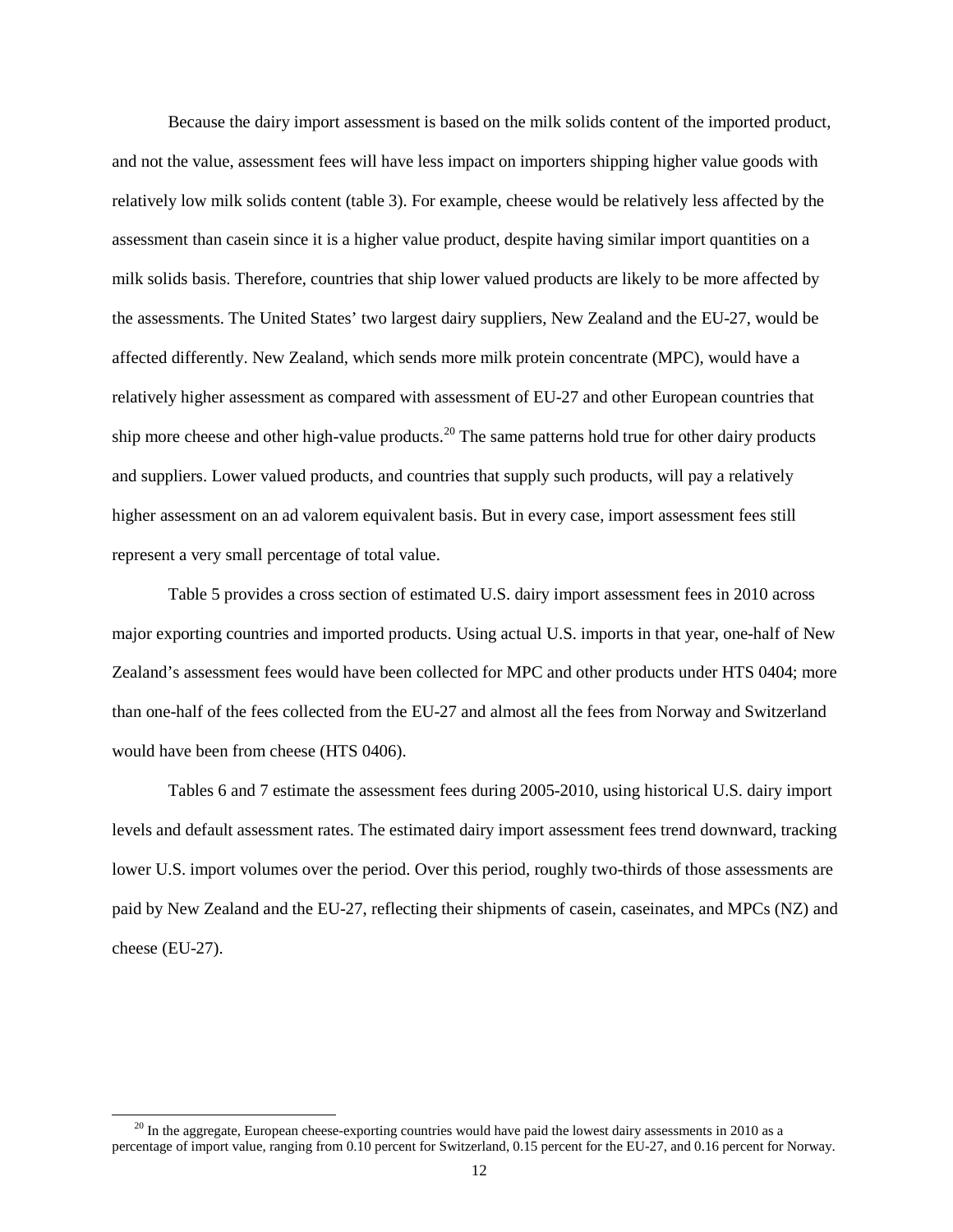Because the dairy import assessment is based on the milk solids content of the imported product, and not the value, assessment fees will have less impact on importers shipping higher value goods with relatively low milk solids content (table 3). For example, cheese would be relatively less affected by the assessment than casein since it is a higher value product, despite having similar import quantities on a milk solids basis. Therefore, countries that ship lower valued products are likely to be more affected by the assessments. The United States' two largest dairy suppliers, New Zealand and the EU-27, would be affected differently. New Zealand, which sends more milk protein concentrate (MPC), would have a relatively higher assessment as compared with assessment of EU-27 and other European countries that ship more cheese and other high-value products.<sup>[20](#page-7-3)</sup> The same patterns hold true for other dairy products and suppliers. Lower valued products, and countries that supply such products, will pay a relatively higher assessment on an ad valorem equivalent basis. But in every case, import assessment fees still represent a very small percentage of total value.

Table 5 provides a cross section of estimated U.S. dairy import assessment fees in 2010 across major exporting countries and imported products. Using actual U.S. imports in that year, one-half of New Zealand's assessment fees would have been collected for MPC and other products under HTS 0404; more than one-half of the fees collected from the EU-27 and almost all the fees from Norway and Switzerland would have been from cheese (HTS 0406).

Tables 6 and 7 estimate the assessment fees during 2005-2010, using historical U.S. dairy import levels and default assessment rates. The estimated dairy import assessment fees trend downward, tracking lower U.S. import volumes over the period. Over this period, roughly two-thirds of those assessments are paid by New Zealand and the EU-27, reflecting their shipments of casein, caseinates, and MPCs (NZ) and cheese (EU-27).

<span id="page-11-0"></span> $20$  In the aggregate, European cheese-exporting countries would have paid the lowest dairy assessments in 2010 as a percentage of import value, ranging from 0.10 percent for Switzerland, 0.15 percent for the EU-27, and 0.16 percent for Norway.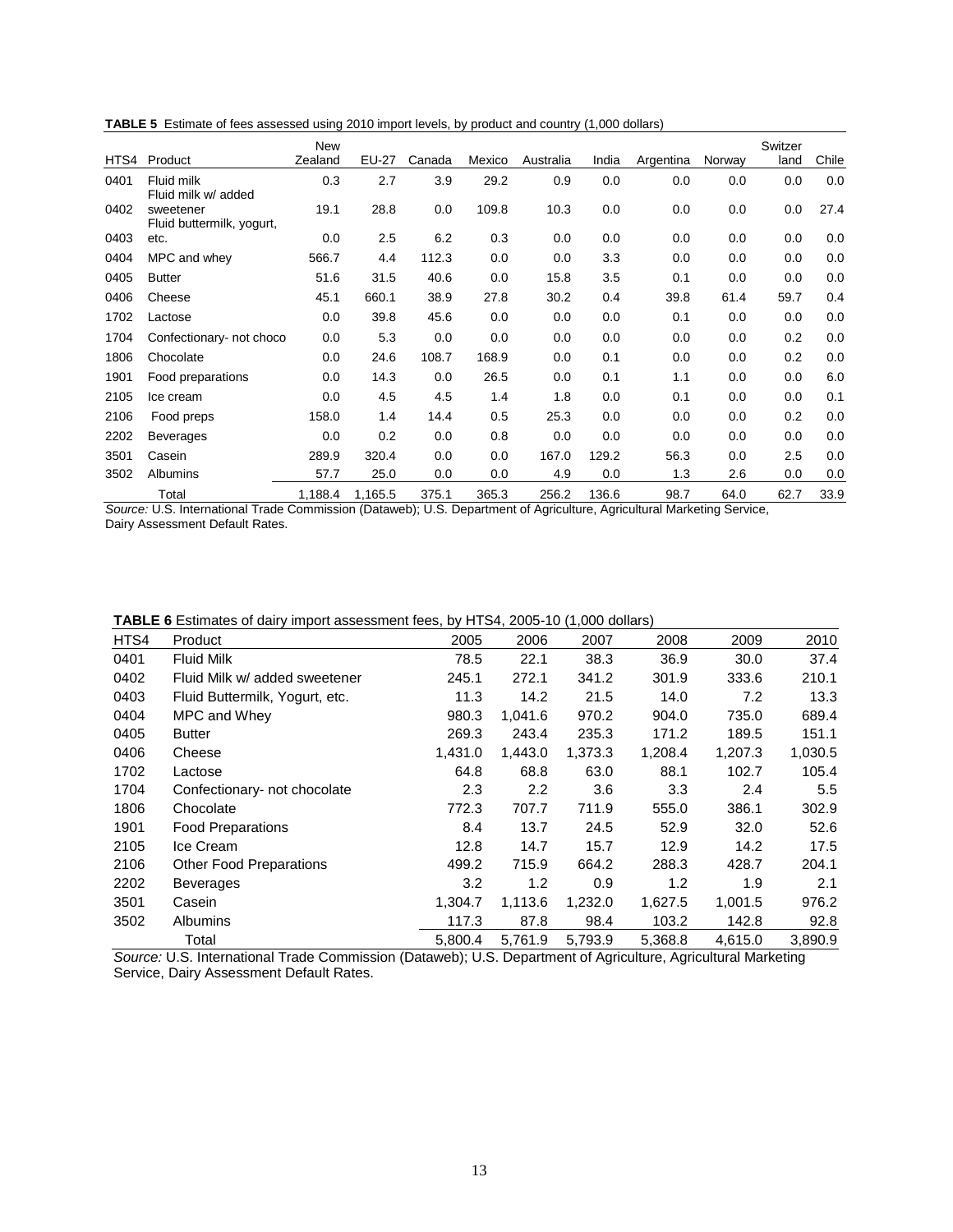**TABLE 5** Estimate of fees assessed using 2010 import levels, by product and country (1,000 dollars)

|      |                                        | <b>New</b> |         |        |        |           |       |           |        | Switzer |       |
|------|----------------------------------------|------------|---------|--------|--------|-----------|-------|-----------|--------|---------|-------|
| HTS4 | Product                                | Zealand    | EU-27   | Canada | Mexico | Australia | India | Argentina | Norway | land    | Chile |
| 0401 | Fluid milk<br>Fluid milk w/ added      | 0.3        | 2.7     | 3.9    | 29.2   | 0.9       | 0.0   | 0.0       | 0.0    | 0.0     | 0.0   |
| 0402 | sweetener<br>Fluid buttermilk, yogurt, | 19.1       | 28.8    | 0.0    | 109.8  | 10.3      | 0.0   | 0.0       | 0.0    | 0.0     | 27.4  |
| 0403 | etc.                                   | 0.0        | 2.5     | 6.2    | 0.3    | 0.0       | 0.0   | 0.0       | 0.0    | 0.0     | 0.0   |
| 0404 | MPC and whey                           | 566.7      | 4.4     | 112.3  | 0.0    | 0.0       | 3.3   | 0.0       | 0.0    | 0.0     | 0.0   |
| 0405 | <b>Butter</b>                          | 51.6       | 31.5    | 40.6   | 0.0    | 15.8      | 3.5   | 0.1       | 0.0    | 0.0     | 0.0   |
| 0406 | Cheese                                 | 45.1       | 660.1   | 38.9   | 27.8   | 30.2      | 0.4   | 39.8      | 61.4   | 59.7    | 0.4   |
| 1702 | Lactose                                | 0.0        | 39.8    | 45.6   | 0.0    | 0.0       | 0.0   | 0.1       | 0.0    | 0.0     | 0.0   |
| 1704 | Confectionary- not choco               | 0.0        | 5.3     | 0.0    | 0.0    | 0.0       | 0.0   | 0.0       | 0.0    | 0.2     | 0.0   |
| 1806 | Chocolate                              | 0.0        | 24.6    | 108.7  | 168.9  | 0.0       | 0.1   | 0.0       | 0.0    | 0.2     | 0.0   |
| 1901 | Food preparations                      | 0.0        | 14.3    | 0.0    | 26.5   | 0.0       | 0.1   | 1.1       | 0.0    | 0.0     | 6.0   |
| 2105 | Ice cream                              | 0.0        | 4.5     | 4.5    | 1.4    | 1.8       | 0.0   | 0.1       | 0.0    | 0.0     | 0.1   |
| 2106 | Food preps                             | 158.0      | 1.4     | 14.4   | 0.5    | 25.3      | 0.0   | 0.0       | 0.0    | 0.2     | 0.0   |
| 2202 | <b>Beverages</b>                       | 0.0        | 0.2     | 0.0    | 0.8    | 0.0       | 0.0   | 0.0       | 0.0    | 0.0     | 0.0   |
| 3501 | Casein                                 | 289.9      | 320.4   | 0.0    | 0.0    | 167.0     | 129.2 | 56.3      | 0.0    | 2.5     | 0.0   |
| 3502 | <b>Albumins</b>                        | 57.7       | 25.0    | 0.0    | 0.0    | 4.9       | 0.0   | 1.3       | 2.6    | 0.0     | 0.0   |
|      | Total                                  | 1,188.4    | 1,165.5 | 375.1  | 365.3  | 256.2     | 136.6 | 98.7      | 64.0   | 62.7    | 33.9  |

*Source:* U.S. International Trade Commission (Dataweb); U.S. Department of Agriculture, Agricultural Marketing Service, Dairy Assessment Default Rates.

|  | <b>TABLE 6</b> Estimates of dairy import assessment fees, by HTS4, 2005-10 (1,000 dollars) |  |  |
|--|--------------------------------------------------------------------------------------------|--|--|
|--|--------------------------------------------------------------------------------------------|--|--|

| HTS4 | Product                        | 2005    | 2006    | 2007    | 2008    | 2009    | 2010    |
|------|--------------------------------|---------|---------|---------|---------|---------|---------|
| 0401 | <b>Fluid Milk</b>              | 78.5    | 22.1    | 38.3    | 36.9    | 30.0    | 37.4    |
| 0402 | Fluid Milk w/ added sweetener  | 245.1   | 272.1   | 341.2   | 301.9   | 333.6   | 210.1   |
| 0403 | Fluid Buttermilk, Yogurt, etc. | 11.3    | 14.2    | 21.5    | 14.0    | 7.2     | 13.3    |
| 0404 | MPC and Whey                   | 980.3   | 1,041.6 | 970.2   | 904.0   | 735.0   | 689.4   |
| 0405 | <b>Butter</b>                  | 269.3   | 243.4   | 235.3   | 171.2   | 189.5   | 151.1   |
| 0406 | Cheese                         | 1,431.0 | 1,443.0 | 1,373.3 | 1,208.4 | 1,207.3 | 1,030.5 |
| 1702 | Lactose                        | 64.8    | 68.8    | 63.0    | 88.1    | 102.7   | 105.4   |
| 1704 | Confectionary- not chocolate   | 2.3     | 2.2     | 3.6     | 3.3     | 2.4     | 5.5     |
| 1806 | Chocolate                      | 772.3   | 707.7   | 711.9   | 555.0   | 386.1   | 302.9   |
| 1901 | <b>Food Preparations</b>       | 8.4     | 13.7    | 24.5    | 52.9    | 32.0    | 52.6    |
| 2105 | Ice Cream                      | 12.8    | 14.7    | 15.7    | 12.9    | 14.2    | 17.5    |
| 2106 | <b>Other Food Preparations</b> | 499.2   | 715.9   | 664.2   | 288.3   | 428.7   | 204.1   |
| 2202 | <b>Beverages</b>               | 3.2     | 1.2     | 0.9     | 1.2     | 1.9     | 2.1     |
| 3501 | Casein                         | 1,304.7 | 1,113.6 | 1,232.0 | 1,627.5 | 1,001.5 | 976.2   |
| 3502 | <b>Albumins</b>                | 117.3   | 87.8    | 98.4    | 103.2   | 142.8   | 92.8    |
|      | Total                          | 5,800.4 | 5,761.9 | 5,793.9 | 5,368.8 | 4,615.0 | 3,890.9 |

*Source:* U.S. International Trade Commission (Dataweb); U.S. Department of Agriculture, Agricultural Marketing Service, Dairy Assessment Default Rates.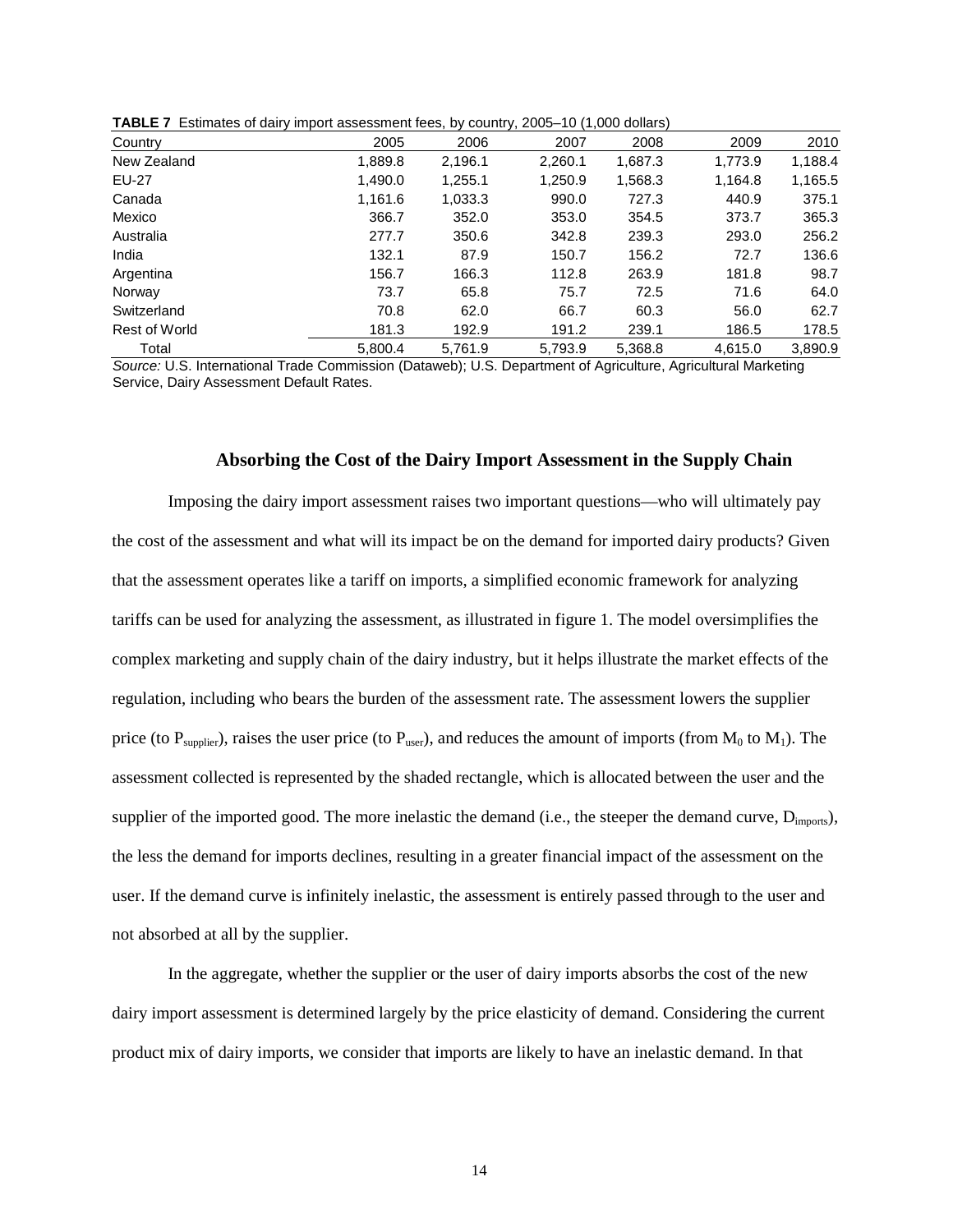|                      |         |         | . .     |         |         |         |
|----------------------|---------|---------|---------|---------|---------|---------|
| Country              | 2005    | 2006    | 2007    | 2008    | 2009    | 2010    |
| New Zealand          | 1,889.8 | 2,196.1 | 2,260.1 | 1,687.3 | 1,773.9 | 1,188.4 |
| EU-27                | 1,490.0 | 1,255.1 | 1,250.9 | 1,568.3 | 1,164.8 | 1,165.5 |
| Canada               | 1,161.6 | 1,033.3 | 990.0   | 727.3   | 440.9   | 375.1   |
| Mexico               | 366.7   | 352.0   | 353.0   | 354.5   | 373.7   | 365.3   |
| Australia            | 277.7   | 350.6   | 342.8   | 239.3   | 293.0   | 256.2   |
| India                | 132.1   | 87.9    | 150.7   | 156.2   | 72.7    | 136.6   |
| Argentina            | 156.7   | 166.3   | 112.8   | 263.9   | 181.8   | 98.7    |
| Norway               | 73.7    | 65.8    | 75.7    | 72.5    | 71.6    | 64.0    |
| Switzerland          | 70.8    | 62.0    | 66.7    | 60.3    | 56.0    | 62.7    |
| <b>Rest of World</b> | 181.3   | 192.9   | 191.2   | 239.1   | 186.5   | 178.5   |
| Total                | 5,800.4 | 5,761.9 | 5,793.9 | 5,368.8 | 4,615.0 | 3,890.9 |

**TABLE 7** Estimates of dairy import assessment fees, by country, 2005–10 (1,000 dollars)

*Source:* U.S. International Trade Commission (Dataweb); U.S. Department of Agriculture, Agricultural Marketing Service, Dairy Assessment Default Rates.

#### **Absorbing the Cost of the Dairy Import Assessment in the Supply Chain**

Imposing the dairy import assessment raises two important questions—who will ultimately pay the cost of the assessment and what will its impact be on the demand for imported dairy products? Given that the assessment operates like a tariff on imports, a simplified economic framework for analyzing tariffs can be used for analyzing the assessment, as illustrated in figure 1. The model oversimplifies the complex marketing and supply chain of the dairy industry, but it helps illustrate the market effects of the regulation, including who bears the burden of the assessment rate. The assessment lowers the supplier price (to  $P_{\text{sunplier}}$ ), raises the user price (to  $P_{\text{user}}$ ), and reduces the amount of imports (from  $M_0$  to  $M_1$ ). The assessment collected is represented by the shaded rectangle, which is allocated between the user and the supplier of the imported good. The more inelastic the demand (i.e., the steeper the demand curve,  $D_{\text{imoots}}$ ), the less the demand for imports declines, resulting in a greater financial impact of the assessment on the user. If the demand curve is infinitely inelastic, the assessment is entirely passed through to the user and not absorbed at all by the supplier.

In the aggregate, whether the supplier or the user of dairy imports absorbs the cost of the new dairy import assessment is determined largely by the price elasticity of demand. Considering the current product mix of dairy imports, we consider that imports are likely to have an inelastic demand. In that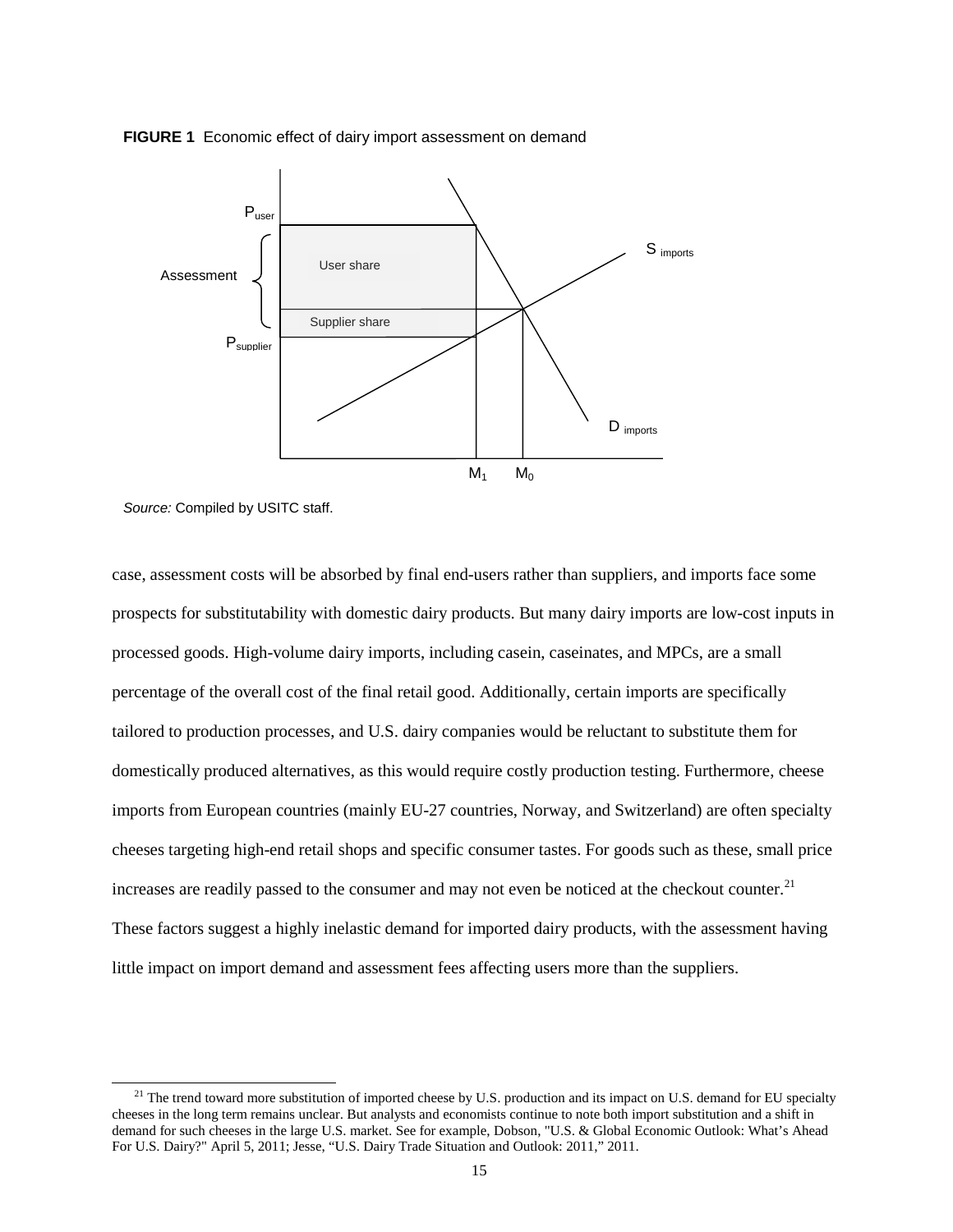



*Source:* Compiled by USITC staff.

case, assessment costs will be absorbed by final end-users rather than suppliers, and imports face some prospects for substitutability with domestic dairy products. But many dairy imports are low-cost inputs in processed goods. High-volume dairy imports, including casein, caseinates, and MPCs, are a small percentage of the overall cost of the final retail good. Additionally, certain imports are specifically tailored to production processes, and U.S. dairy companies would be reluctant to substitute them for domestically produced alternatives, as this would require costly production testing. Furthermore, cheese imports from European countries (mainly EU-27 countries, Norway, and Switzerland) are often specialty cheeses targeting high-end retail shops and specific consumer tastes. For goods such as these, small price increases are readily passed to the consumer and may not even be noticed at the checkout counter.<sup>[21](#page-11-0)</sup> These factors suggest a highly inelastic demand for imported dairy products, with the assessment having little impact on import demand and assessment fees affecting users more than the suppliers.

<span id="page-14-0"></span><sup>&</sup>lt;sup>21</sup> The trend toward more substitution of imported cheese by U.S. production and its impact on U.S. demand for EU specialty cheeses in the long term remains unclear. But analysts and economists continue to note both import substitution and a shift in demand for such cheeses in the large U.S. market. See for example, Dobson, "U.S. & Global Economic Outlook: What's Ahead For U.S. Dairy?" April 5, 2011; Jesse, "U.S. Dairy Trade Situation and Outlook: 2011," 2011.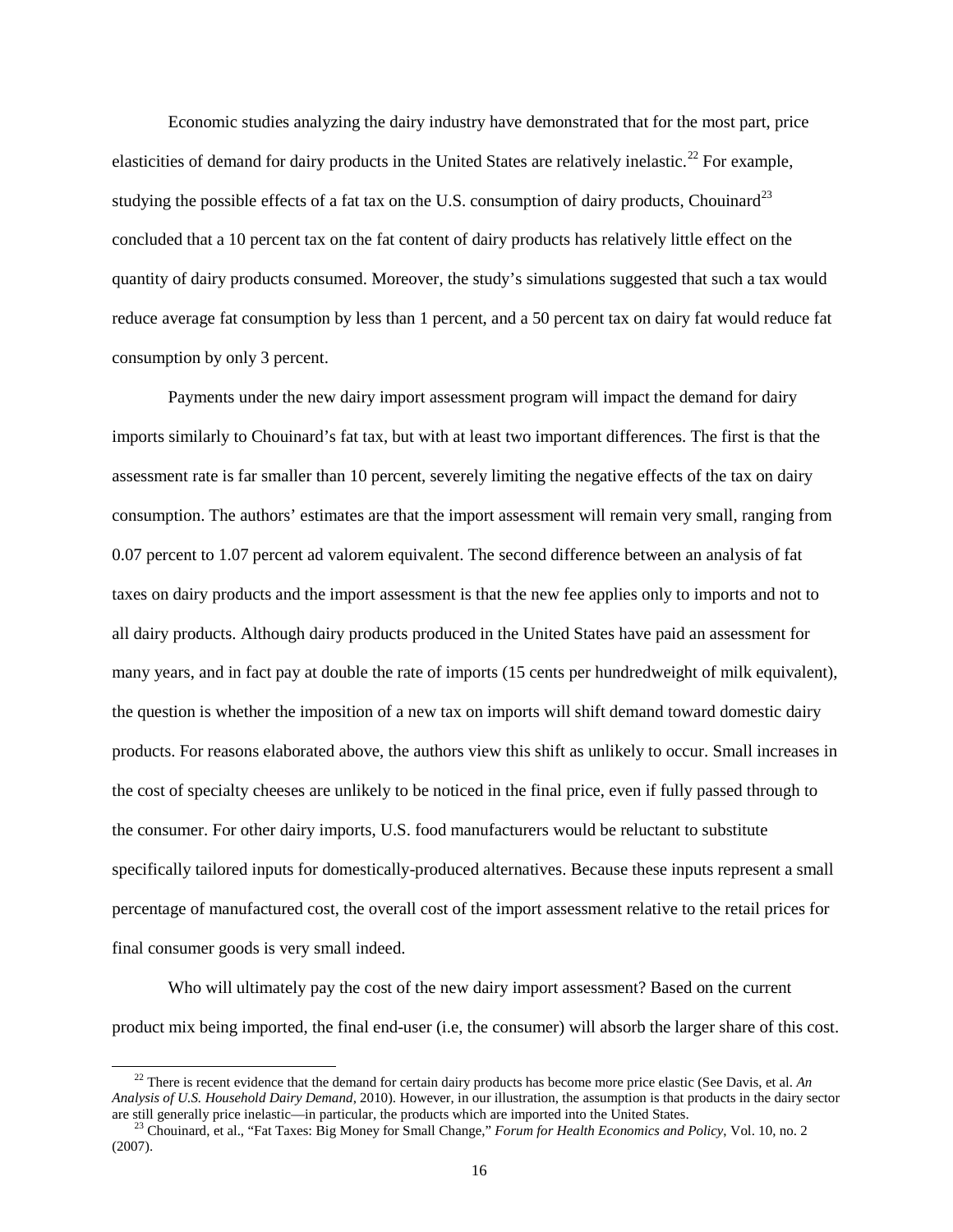Economic studies analyzing the dairy industry have demonstrated that for the most part, price elasticities of demand for dairy products in the United States are relatively inelastic.<sup>[22](#page-14-0)</sup> For example, studying the possible effects of a fat tax on the U.S. consumption of dairy products, Chouinard<sup>[23](#page-15-0)</sup> concluded that a 10 percent tax on the fat content of dairy products has relatively little effect on the quantity of dairy products consumed. Moreover, the study's simulations suggested that such a tax would reduce average fat consumption by less than 1 percent, and a 50 percent tax on dairy fat would reduce fat consumption by only 3 percent.

Payments under the new dairy import assessment program will impact the demand for dairy imports similarly to Chouinard's fat tax, but with at least two important differences. The first is that the assessment rate is far smaller than 10 percent, severely limiting the negative effects of the tax on dairy consumption. The authors' estimates are that the import assessment will remain very small, ranging from 0.07 percent to 1.07 percent ad valorem equivalent. The second difference between an analysis of fat taxes on dairy products and the import assessment is that the new fee applies only to imports and not to all dairy products. Although dairy products produced in the United States have paid an assessment for many years, and in fact pay at double the rate of imports (15 cents per hundredweight of milk equivalent), the question is whether the imposition of a new tax on imports will shift demand toward domestic dairy products. For reasons elaborated above, the authors view this shift as unlikely to occur. Small increases in the cost of specialty cheeses are unlikely to be noticed in the final price, even if fully passed through to the consumer. For other dairy imports, U.S. food manufacturers would be reluctant to substitute specifically tailored inputs for domestically-produced alternatives. Because these inputs represent a small percentage of manufactured cost, the overall cost of the import assessment relative to the retail prices for final consumer goods is very small indeed.

Who will ultimately pay the cost of the new dairy import assessment? Based on the current product mix being imported, the final end-user (i.e, the consumer) will absorb the larger share of this cost.

<sup>&</sup>lt;sup>22</sup> There is recent evidence that the demand for certain dairy products has become more price elastic (See Davis, et al. *An Analysis of U.S. Household Dairy Demand*, 2010). However, in our illustration, the assumption is that products in the dairy sector

<span id="page-15-0"></span><sup>&</sup>lt;sup>23</sup> Chouinard, et al., "Fat Taxes: Big Money for Small Change," Forum for Health Economics and Policy, Vol. 10, no. 2 (2007).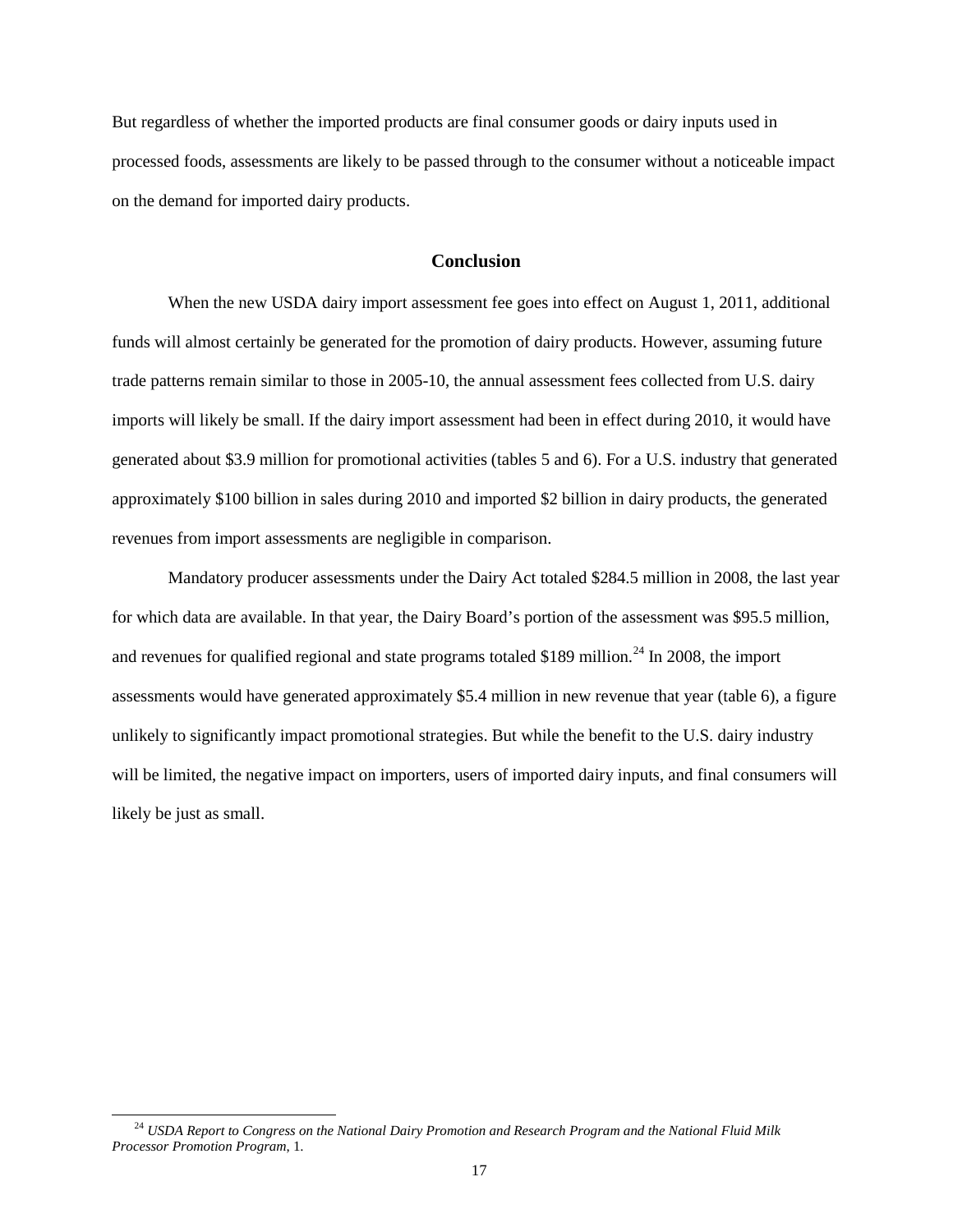But regardless of whether the imported products are final consumer goods or dairy inputs used in processed foods, assessments are likely to be passed through to the consumer without a noticeable impact on the demand for imported dairy products.

# **Conclusion**

When the new USDA dairy import assessment fee goes into effect on August 1, 2011, additional funds will almost certainly be generated for the promotion of dairy products. However, assuming future trade patterns remain similar to those in 2005-10, the annual assessment fees collected from U.S. dairy imports will likely be small. If the dairy import assessment had been in effect during 2010, it would have generated about \$3.9 million for promotional activities (tables 5 and 6). For a U.S. industry that generated approximately \$100 billion in sales during 2010 and imported \$2 billion in dairy products, the generated revenues from import assessments are negligible in comparison.

Mandatory producer assessments under the Dairy Act totaled \$284.5 million in 2008, the last year for which data are available. In that year, the Dairy Board's portion of the assessment was \$95.5 million, and revenues for qualified regional and state programs totaled \$189 million.<sup>[24](#page-15-0)</sup> In 2008, the import assessments would have generated approximately \$5.4 million in new revenue that year (table 6), a figure unlikely to significantly impact promotional strategies. But while the benefit to the U.S. dairy industry will be limited, the negative impact on importers, users of imported dairy inputs, and final consumers will likely be just as small.

 <sup>24</sup> *USDA Report to Congress on the National Dairy Promotion and Research Program and the National Fluid Milk Processor Promotion Program*, 1.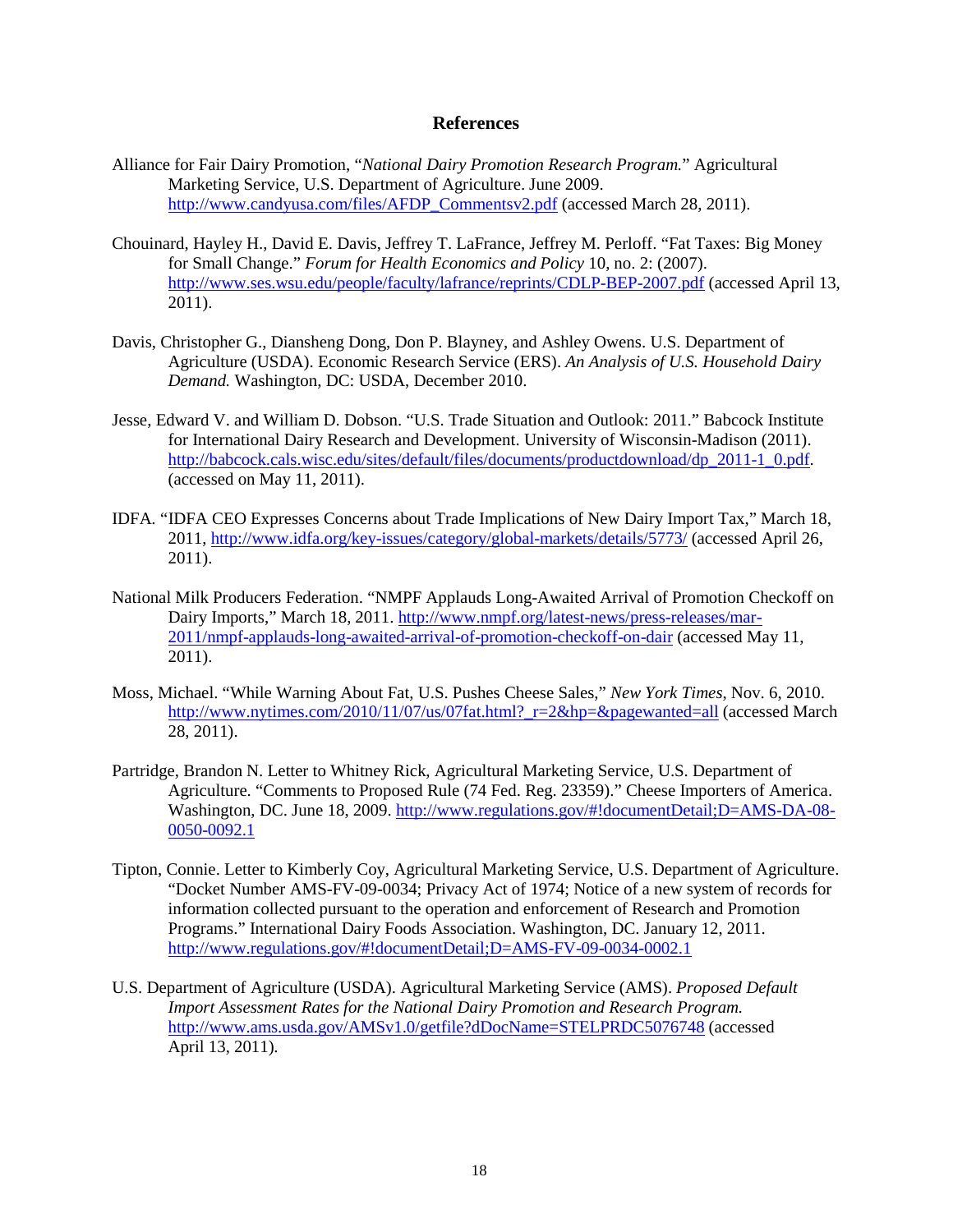# **References**

- Alliance for Fair Dairy Promotion, "*National Dairy Promotion Research Program.*" Agricultural Marketing Service, U.S. Department of Agriculture. June 2009. [http://www.candyusa.com/files/AFDP\\_Commentsv2.pdf](http://www.candyusa.com/files/AFDP_Commentsv2.pdf) (accessed March 28, 2011).
- Chouinard, Hayley H., David E. Davis, Jeffrey T. LaFrance, Jeffrey M. Perloff. "Fat Taxes: Big Money for Small Change." *Forum for Health Economics and Policy* 10, no. 2: (2007). <http://www.ses.wsu.edu/people/faculty/lafrance/reprints/CDLP-BEP-2007.pdf> (accessed April 13, 2011).
- Davis, Christopher G., Diansheng Dong, Don P. Blayney, and Ashley Owens. U.S. Department of Agriculture (USDA). Economic Research Service (ERS). *An Analysis of U.S. Household Dairy Demand.* Washington, DC: USDA, December 2010.
- Jesse, Edward V. and William D. Dobson. "U.S. Trade Situation and Outlook: 2011." Babcock Institute for International Dairy Research and Development. University of Wisconsin-Madison (2011). [http://babcock.cals.wisc.edu/sites/default/files/documents/productdownload/dp\\_2011-1\\_0.pdf.](http://babcock.cals.wisc.edu/sites/default/files/documents/productdownload/dp_2011-1_0.pdf) (accessed on May 11, 2011).
- IDFA*.* "IDFA CEO Expresses Concerns about Trade Implications of New Dairy Import Tax," March 18, 2011,<http://www.idfa.org/key-issues/category/global-markets/details/5773/> (accessed April 26, 2011).
- National Milk Producers Federation. "NMPF Applauds Long-Awaited Arrival of Promotion Checkoff on Dairy Imports," March 18, 2011. [http://www.nmpf.org/latest-news/press-releases/mar-](http://www.nmpf.org/latest-news/press-releases/mar-2011/nmpf-applauds-long-awaited-arrival-of-promotion-checkoff-on-dair)[2011/nmpf-applauds-long-awaited-arrival-of-promotion-checkoff-on-dair](http://www.nmpf.org/latest-news/press-releases/mar-2011/nmpf-applauds-long-awaited-arrival-of-promotion-checkoff-on-dair) (accessed May 11, 2011).
- Moss, Michael. "While Warning About Fat, U.S. Pushes Cheese Sales," *New York Times*, Nov. 6, 2010. http://www.nytimes.com/2010/11/07/us/07fat.html? r=2&hp=&pagewanted=all (accessed March 28, 2011).
- Partridge, Brandon N. Letter to Whitney Rick, Agricultural Marketing Service, U.S. Department of Agriculture. "Comments to Proposed Rule (74 Fed. Reg. 23359)." Cheese Importers of America. Washington, DC. June 18, 2009. [http://www.regulations.gov/#!documentDetail;D=AMS-DA-08-](http://www.regulations.gov/#!documentDetail;D=AMS-DA-08-0050-0092.1) [0050-0092.1](http://www.regulations.gov/#!documentDetail;D=AMS-DA-08-0050-0092.1)
- Tipton, Connie. Letter to Kimberly Coy, Agricultural Marketing Service, U.S. Department of Agriculture. "Docket Number AMS-FV-09-0034; Privacy Act of 1974; Notice of a new system of records for information collected pursuant to the operation and enforcement of Research and Promotion Programs." International Dairy Foods Association. Washington, DC. January 12, 2011. <http://www.regulations.gov/#!documentDetail;D=AMS-FV-09-0034-0002.1>
- U.S. Department of Agriculture (USDA). Agricultural Marketing Service (AMS). *Proposed Default Import Assessment Rates for the National Dairy Promotion and Research Program.*  <http://www.ams.usda.gov/AMSv1.0/getfile?dDocName=STELPRDC5076748> (accessed April 13, 2011)*.*